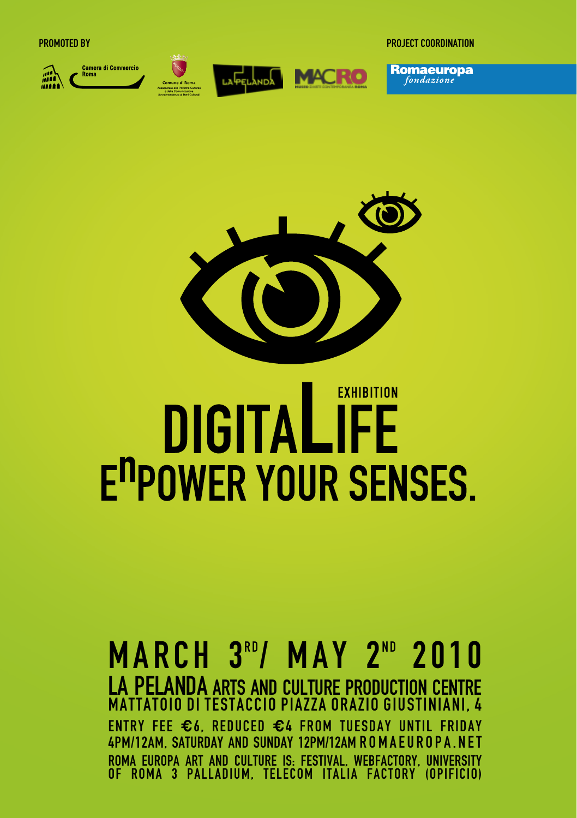m.









Promoted by project coordination

**Romaeuropa** 



### **EXHIBITION** DIGITALIFE **E<sup>n</sup>POWER YOUR SENSES.**

#### **MARCH 3<sup>RD</sup>/ MAY 2<sup>ND</sup> 2010** la pelanda arts and culture production centre Mattatoio di Testaccio Piazza Orazio Giustiniani, 4 Entry fee **€**6, reduced **€**4 from Tuesday until Friday 4pm/12am, Saturday and Sunday 12pm/12am romaeuropa.net Roma Europa art and culture is: Festival, Webfactory, University of Roma 3 Palladium, Telecom Italia factory (opificio)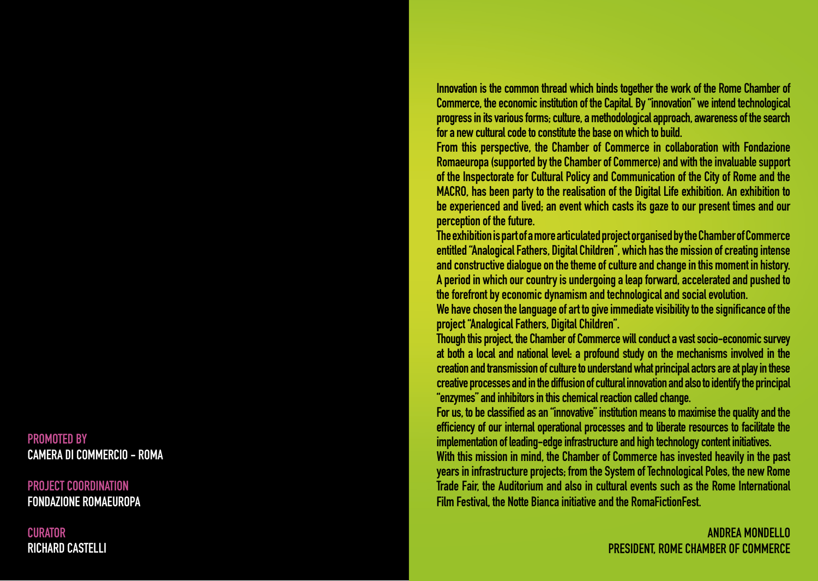Innovation is the common thread which binds together the work of the Rome Chamber of Commerce, the economic institution of the Capital. By "innovation" we intend technological progress in its various forms; culture, a methodological approach, awareness of the search

for a new cultural code to constitute the base on which to build.<br>From this perspective, the Chamber of Commerce in collaboration with Fondazione Romaeuropa (supported by the Chamber of Commerce) and with the invaluable support of the Inspectorate for Cultural Policy and Communication of the City of Rome and the MACRO, has been party to the realisation of the Digital Life exhibition. An exhibition to be experienced and lived; an event which casts its gaze to our present times and our perception of the future.<br>The exhibition is part of a more articulated project organised by the Chamber of Commerce

entitled "Analogical Fathers, Digital Children", which has the mission of creating intense and constructive dialogue on the theme of culture and change in this moment in history. A period in which our country is undergoing a leap forward, accelerated and pushed to the forefront by economic dynamism and technological and social evolution.

We have chosen the language of art to give immediate visibility to the significance of the project "Analogical Fathers, Digital Children".

Though this project, the Chamber of Commerce will conduct a vast socio-economic survey at both a local and national level: a profound study on the mechanisms involved in the creation and transmission of culture to understand what principal actors are at play in these creative processes and in the diffusion of cultural innovation and also to identify the principal "enzymes" and inhibitors in this chemical reaction called change. For us, to be classified as an "innovative" institution means to maximise the quality and the

efficiency of our internal operational processes and to liberate resources to facilitate the implementation of leading-edge infrastructure and high technology content initiatives.

With this mission in mind, the Chamber of Commerce has invested heavily in the past years in infrastructure projects; from the System of Technological Poles, the new Rome Trade Fair, the Auditorium and also in cultural events such as the Rome International Film Festival, the Notte Bianca initiative and the RomaFictionFest.

#### Andrea Mondello PRESIDENT, ROME CHAMBER OF COMMERCE

PROMOTED BY<br>CAMERA DI COMMERCIO – ROMA

project coordination Fondazione Romaeuropa

**CURATOR** Richard Castelli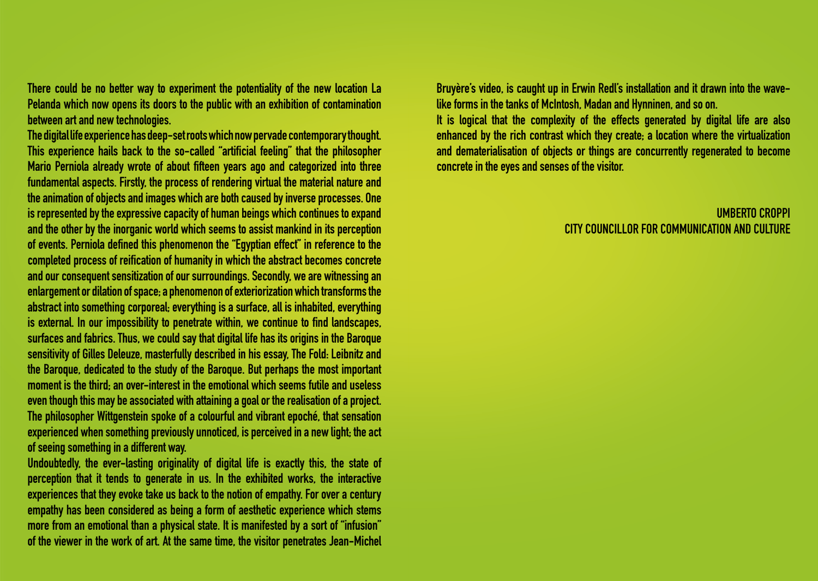There could be no better way to experiment the potentiality of the new location La Pelanda which now opens its doors to the public with an exhibition of contamination between art and new technologies.

The digital life experience has deep-set roots which now pervade contemporary thought. This experience hails back to the so-called "artificial feeling" that the philosopher Mario Perniola already wrote of about fifteen years ago and categorized into three fundamental aspects. Firstly, the process of rendering virtual the material nature and the animation of objects and images which are both caused by inverse processes. One is represented by the expressive capacity of human beings which continues to expand and the other by the inorganic world which seems to assist mankind in its perception of events. Perniola defined this phenomenon the "Egyptian effect" in reference to the completed process of reification of humanity in which the abstract becomes concrete and our consequent sensitization of our surroundings. Secondly, we are witnessing an enlargement or dilation of space; a phenomenon of exteriorization which transforms the abstract into something corporeal; everything is a surface, all is inhabited, everything is external. In our impossibility to penetrate within, we continue to find landscapes, surfaces and fabrics. Thus, we could say that digital life has its origins in the Baroque sensitivity of Gilles Deleuze, masterfully described in his essay, The Fold: Leibnitz and the Baroque, dedicated to the study of the Baroque. But perhaps the most important moment is the third; an over-interest in the emotional which seems futile and useless even though this may be associated with attaining a goal or the realisation of a project. The philosopher Wittgenstein spoke of a colourful and vibrant epoché, that sensation experienced when something previously unnoticed, is perceived in a new light; the act of seeing something in a different way.

Undoubtedly, the ever-lasting originality of digital life is exactly this, the state of perception that it tends to generate in us. In the exhibited works, the interactive experiences that they evoke take us back to the notion of empathy. For over a century empathy has been considered as being a form of aesthetic experience which stems more from an emotional than a physical state. It is manifested by a sort of "infusion" of the viewer in the work of art. At the same time, the visitor penetrates Jean-Michel Bruyère's video, is caught up in Erwin Redl's installation and it drawn into the wavelike forms in the tanks of McIntosh, Madan and Hynninen, and so on.

It is logical that the complexity of the effects generated by digital life are also enhanced by the rich contrast which they create; a location where the virtualization and dematerialisation of objects or things are concurrently regenerated to become concrete in the eyes and senses of the visitor.

#### Umberto Croppi City Councillor for communication and culture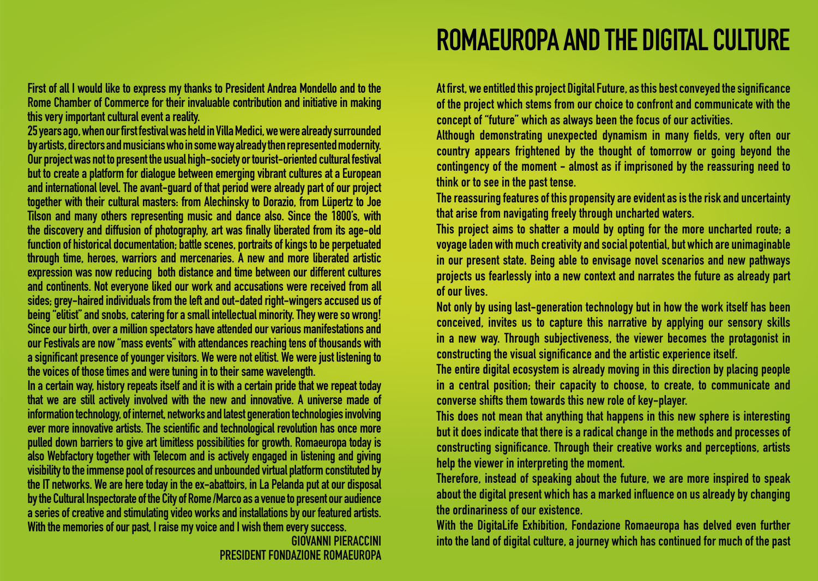First of all I would like to express my thanks to President Andrea Mondello and to the Rome Chamber of Commerce for their invaluable contribution and initiative in making this very important cultural event a reality.

25 years ago, when our first festival was held in Villa Medici, we were already surrounded by artists, directors and musicians who in some way already then represented modernity. Our project was not to present the usual high-society or tourist-oriented cultural festival but to create a platform for dialogue between emerging vibrant cultures at a European and international level. The avant-guard of that period were already part of our project together with their cultural masters: from Alechinsky to Dorazio, from Lüpertz to Joe Tilson and many others representing music and dance also. Since the 1800's, with the discovery and diffusion of photography, art was finally liberated from its age-old function of historical documentation; battle scenes, portraits of kings to be perpetuated through time, heroes, warriors and mercenaries. A new and more liberated artistic expression was now reducing both distance and time between our different cultures and continents. Not everyone liked our work and accusations were received from all sides; grey-haired individuals from the left and out-dated right-wingers accused us of being "elitist" and snobs, catering for a small intellectual minority. They were so wrong! Since our birth, over a million spectators have attended our various manifestations and our Festivals are now "mass events" with attendances reaching tens of thousands with a significant presence of younger visitors. We were not elitist. We were just listening to the voices of those times and were tuning in to their same wavelength.

In a certain way, history repeats itself and it is with a certain pride that we repeat today that we are still actively involved with the new and innovative. A universe made of information technology, of internet, networks and latest generation technologies involving ever more innovative artists. The scientific and technological revolution has once more pulled down barriers to give art limitless possibilities for growth. Romaeuropa today is also Webfactory together with Telecom and is actively engaged in listening and giving visibility to the immense pool of resources and unbounded virtual platform constituted by the IT networks. We are here today in the ex-abattoirs, in La Pelanda put at our disposal by the Cultural Inspectorate of the City of Rome /Marco as a venue to present our audience a series of creative and stimulating video works and installations by our featured artists. With the memories of our past, I raise my voice and I wish them every success.

### ROMAEUROPA AND THE DIGITAL CULTURE

At first, we entitled this project Digital Future, as this best conveyed the significance of the project which stems from our choice to confront and communicate with the concept of "future" which as always been the focus of our activities.

Although demonstrating unexpected dynamism in many fields, very often our country appears frightened by the thought of tomorrow or going beyond the contingency of the moment - almost as if imprisoned by the reassuring need to think or to see in the past tense.

The reassuring features of this propensity are evident as is the risk and uncertainty that arise from navigating freely through uncharted waters.

This project aims to shatter a mould by opting for the more uncharted route; a voyage laden with much creativity and social potential, but which are unimaginable in our present state. Being able to envisage novel scenarios and new pathways projects us fearlessly into a new context and narrates the future as already part of our lives.

Not only by using last-generation technology but in how the work itself has been conceived, invites us to capture this narrative by applying our sensory skills in a new way. Through subjectiveness, the viewer becomes the protagonist in constructing the visual significance and the artistic experience itself.

The entire digital ecosystem is already moving in this direction by placing people in a central position; their capacity to choose, to create, to communicate and converse shifts them towards this new role of key-player.

This does not mean that anything that happens in this new sphere is interesting but it does indicate that there is a radical change in the methods and processes of constructing significance. Through their creative works and perceptions, artists help the viewer in interpreting the moment.

Therefore, instead of speaking about the future, we are more inspired to speak about the digital present which has a marked influence on us already by changing the ordinariness of our existence.

With the DigitaLife Exhibition, Fondazione Romaeuropa has delved even further into the land of digital culture, a journey which has continued for much of the past

Giovanni Pieraccini president fondazione romaeuropa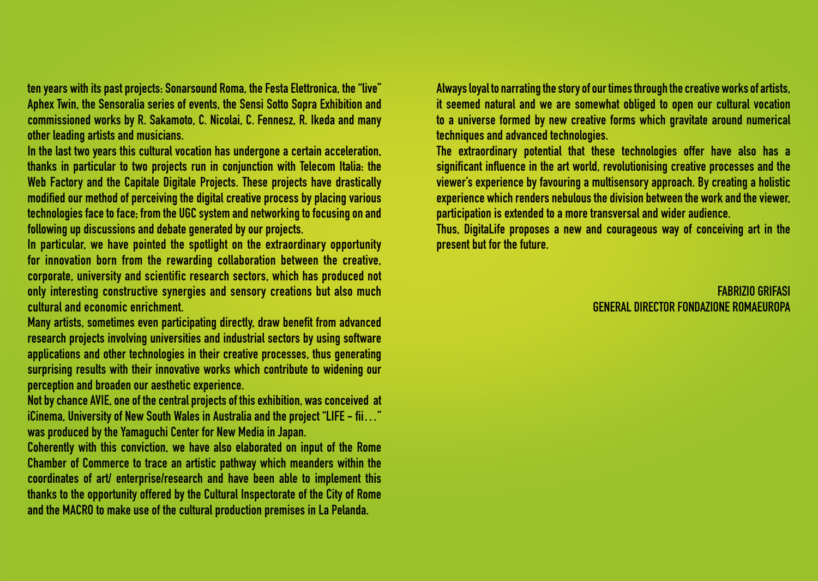ten years with its past projects: Sonarsound Roma, the Festa Elettronica, the "live" Aphex Twin, the Sensoralia series of events, the Sensi Sotto Sopra Exhibition and commissioned works by R. Sakamoto, C. Nicolai, C. Fennesz, R. Ikeda and many other leading artists and musicians.

In the last two years this cultural vocation has undergone a certain acceleration, thanks in particular to two projects run in conjunction with Telecom Italia: the Web Factory and the Capitale Digitale Projects. These projects have drastically modified our method of perceiving the digital creative process by placing various technologies face to face; from the UGC system and networking to focusing on and following up discussions and debate generated by our projects.

In particular, we have pointed the spotlight on the extraordinary opportunity for innovation born from the rewarding collaboration between the creative, corporate, university and scientific research sectors, which has produced not only interesting constructive synergies and sensory creations but also much cultural and economic enrichment.

Many artists, sometimes even participating directly, draw benefit from advanced research projects involving universities and industrial sectors by using software applications and other technologies in their creative processes, thus generating surprising results with their innovative works which contribute to widening our perception and broaden our aesthetic experience.

Not by chance AVIE, one of the central projects of this exhibition, was conceived at iCinema, University of New South Wales in Australia and the project "LIFE - fii…" was produced by the Yamaguchi Center for New Media in Japan.

Coherently with this conviction, we have also elaborated on input of the Rome Chamber of Commerce to trace an artistic pathway which meanders within the coordinates of art/ enterprise/research and have been able to implement this thanks to the opportunity offered by the Cultural Inspectorate of the City of Rome and the MACRO to make use of the cultural production premises in La Pelanda.

Always loyal to narrating the story of our times through the creative works of artists, it seemed natural and we are somewhat obliged to open our cultural vocation to a universe formed by new creative forms which gravitate around numerical techniques and advanced technologies.

The extraordinary potential that these technologies offer have also has a significant influence in the art world, revolutionising creative processes and the viewer's experience by favouring a multisensory approach. By creating a holistic experience which renders nebulous the division between the work and the viewer, participation is extended to a more transversal and wider audience.

Thus, DigitaLife proposes a new and courageous way of conceiving art in the present but for the future.

#### Fabrizio Grifasi general director Fondazione Romaeuropa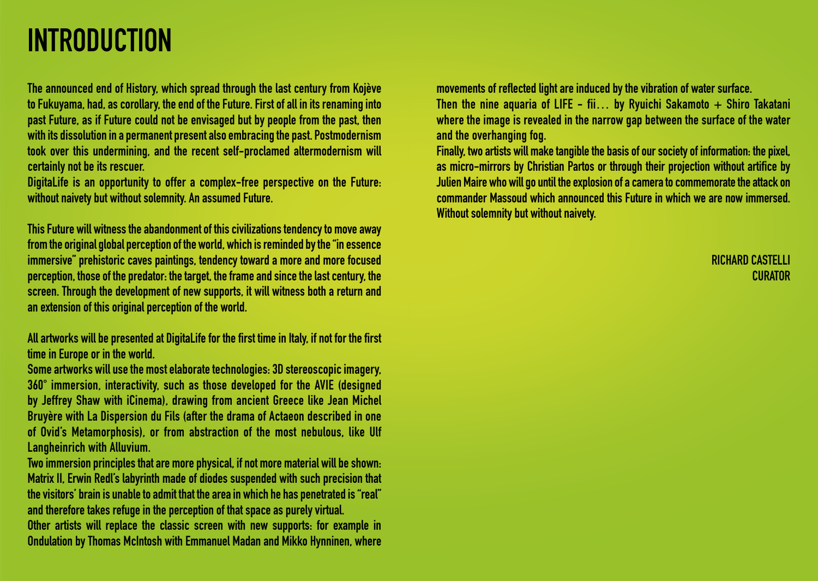# **INTRODUCTION**

The announced end of History, which spread through the last century from Kojève to Fukuyama, had, as corollary, the end of the Future. First of all in its renaming into past Future, as if Future could not be envisaged but by people from the past, then with its dissolution in a permanent present also embracing the past. Postmodernism took over this undermining, and the recent self-proclamed altermodernism will certainly not be its rescuer.

DigitaLife is an opportunity to offer a complex-free perspective on the Future: without naivety but without solemnity. An assumed Future.

This Future will witness the abandonment of this civilizations tendency to move away from the original global perception of the world, which is reminded by the "in essence immersive" prehistoric caves paintings, tendency toward a more and more focused perception, those of the predator: the target, the frame and since the last century, the screen. Through the development of new supports, it will witness both a return and an extension of this original perception of the world.

All artworks will be presented at DigitaLife for the first time in Italy, if not for the first time in Europe or in the world.

Some artworks will use the most elaborate technologies: 3D stereoscopic imagery, 360° immersion, interactivity, such as those developed for the AVIE (designed by Jeffrey Shaw with iCinema), drawing from ancient Greece like Jean Michel Bruyère with La Dispersion du Fils (after the drama of Actaeon described in one of Ovid's Metamorphosis), or from abstraction of the most nebulous, like Ulf Langheinrich with Alluvium.

Two immersion principles that are more physical, if not more material will be shown: Matrix II, Erwin Redl's labyrinth made of diodes suspended with such precision that the visitors' brain is unable to admit that the area in which he has penetrated is "real" and therefore takes refuge in the perception of that space as purely virtual.

Other artists will replace the classic screen with new supports: for example in Ondulation by Thomas McIntosh with Emmanuel Madan and Mikko Hynninen, where movements of reflected light are induced by the vibration of water surface.

Then the nine aquaria of LIFE - fii... by Ryuichi Sakamoto  $+$  Shiro Takatani where the image is revealed in the narrow gap between the surface of the water and the overhanging fog.

Finally, two artists will make tangible the basis of our society of information: the pixel, as micro-mirrors by Christian Partos or through their projection without artifice by Julien Maire who will go until the explosion of a camera to commemorate the attack on commander Massoud which announced this Future in which we are now immersed. Without solemnity but without naivety.

> Richard Castelli **CURATOR**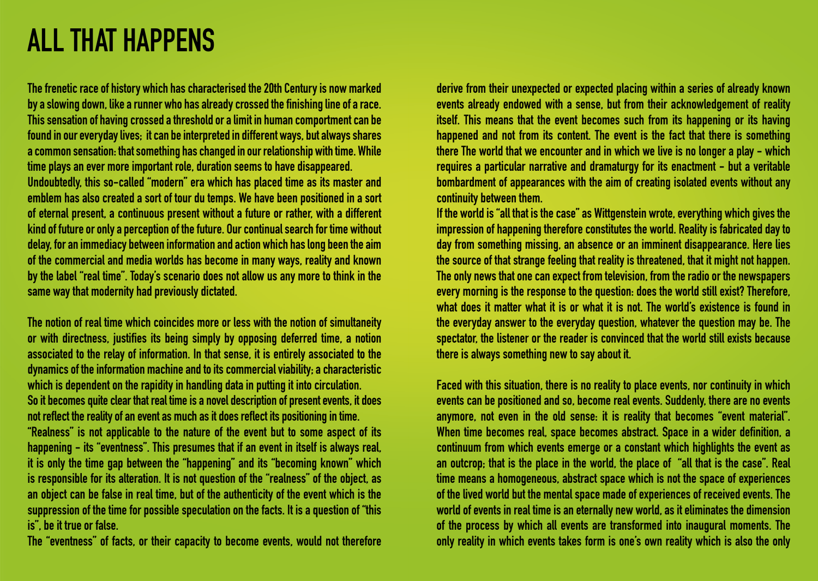## ALL THAT HAPPENS

The frenetic race of history which has characterised the 20th Century is now marked by a slowing down, like a runner who has already crossed the finishing line of a race. This sensation of having crossed a threshold or a limit in human comportment can be found in our everyday lives; it can be interpreted in different ways, but always shares a common sensation: that something has changed in our relationship with time. While time plays an ever more important role, duration seems to have disappeared.

Undoubtedly, this so-called "modern" era which has placed time as its master and emblem has also created a sort of tour du temps. We have been positioned in a sort of eternal present, a continuous present without a future or rather, with a different kind of future or only a perception of the future. Our continual search for time without delay, for an immediacy between information and action which has long been the aim of the commercial and media worlds has become in many ways, reality and known by the label "real time". Today's scenario does not allow us any more to think in the same way that modernity had previously dictated.

The notion of real time which coincides more or less with the notion of simultaneity or with directness, justifies its being simply by opposing deferred time, a notion associated to the relay of information. In that sense, it is entirely associated to the dynamics of the information machine and to its commercial viability; a characteristic which is dependent on the rapidity in handling data in putting it into circulation. So it becomes quite clear that real time is a novel description of present events, it does not reflect the reality of an event as much as it does reflect its positioning in time. "Realness" is not applicable to the nature of the event but to some aspect of its happening - its "eventness". This presumes that if an event in itself is always real, it is only the time gap between the "happening" and its "becoming known" which is responsible for its alteration. It is not question of the "realness" of the object, as an object can be false in real time, but of the authenticity of the event which is the suppression of the time for possible speculation on the facts. It is a question of "this is", be it true or false.

The "eventness" of facts, or their capacity to become events, would not therefore

derive from their unexpected or expected placing within a series of already known events already endowed with a sense, but from their acknowledgement of reality itself. This means that the event becomes such from its happening or its having happened and not from its content. The event is the fact that there is something there The world that we encounter and in which we live is no longer a play - which requires a particular narrative and dramaturgy for its enactment - but a veritable bombardment of appearances with the aim of creating isolated events without any continuity between them.

If the world is "all that is the case" as Wittgenstein wrote, everything which gives the impression of happening therefore constitutes the world. Reality is fabricated day to day from something missing, an absence or an imminent disappearance. Here lies the source of that strange feeling that reality is threatened, that it might not happen. The only news that one can expect from television, from the radio or the newspapers every morning is the response to the question: does the world still exist? Therefore, what does it matter what it is or what it is not. The world's existence is found in the everyday answer to the everyday question, whatever the question may be. The spectator, the listener or the reader is convinced that the world still exists because there is always something new to say about it.

Faced with this situation, there is no reality to place events, nor continuity in which events can be positioned and so, become real events. Suddenly, there are no events anymore, not even in the old sense: it is reality that becomes "event material". When time becomes real, space becomes abstract. Space in a wider definition, a continuum from which events emerge or a constant which highlights the event as an outcrop; that is the place in the world, the place of "all that is the case". Real time means a homogeneous, abstract space which is not the space of experiences of the lived world but the mental space made of experiences of received events. The world of events in real time is an eternally new world, as it eliminates the dimension of the process by which all events are transformed into inaugural moments. The only reality in which events takes form is one's own reality which is also the only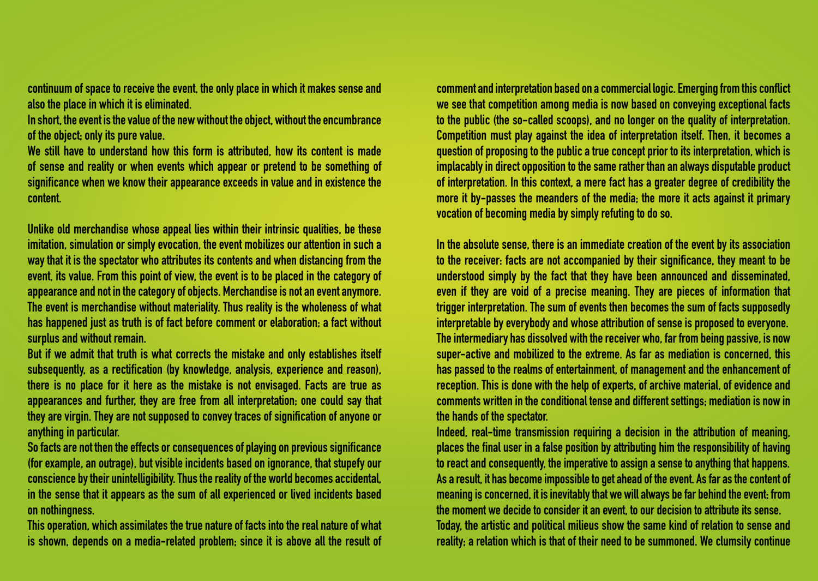continuum of space to receive the event, the only place in which it makes sense and also the place in which it is eliminated.

In short, the event is the value of the new without the object, without the encumbrance of the object; only its pure value.

We still have to understand how this form is attributed, how its content is made of sense and reality or when events which appear or pretend to be something of significance when we know their appearance exceeds in value and in existence the content.

Unlike old merchandise whose appeal lies within their intrinsic qualities, be these imitation, simulation or simply evocation, the event mobilizes our attention in such a way that it is the spectator who attributes its contents and when distancing from the event, its value. From this point of view, the event is to be placed in the category of appearance and not in the category of objects. Merchandise is not an event anymore. The event is merchandise without materiality. Thus reality is the wholeness of what has happened just as truth is of fact before comment or elaboration; a fact without surplus and without remain.

But if we admit that truth is what corrects the mistake and only establishes itself subsequently, as a rectification (by knowledge, analysis, experience and reason), there is no place for it here as the mistake is not envisaged. Facts are true as appearances and further, they are free from all interpretation; one could say that they are virgin. They are not supposed to convey traces of signification of anyone or anything in particular.

So facts are not then the effects or consequences of playing on previous significance (for example, an outrage), but visible incidents based on ignorance, that stupefy our conscience by their unintelligibility. Thus the reality of the world becomes accidental, in the sense that it appears as the sum of all experienced or lived incidents based on nothingness.

This operation, which assimilates the true nature of facts into the real nature of what is shown, depends on a media-related problem; since it is above all the result of

comment and interpretation based on a commercial logic. Emerging from this conflict we see that competition among media is now based on conveying exceptional facts to the public (the so-called scoops), and no longer on the quality of interpretation. Competition must play against the idea of interpretation itself. Then, it becomes a question of proposing to the public a true concept prior to its interpretation, which is implacably in direct opposition to the same rather than an always disputable product of interpretation. In this context, a mere fact has a greater degree of credibility the more it by-passes the meanders of the media; the more it acts against it primary vocation of becoming media by simply refuting to do so.

In the absolute sense, there is an immediate creation of the event by its association to the receiver: facts are not accompanied by their significance, they meant to be understood simply by the fact that they have been announced and disseminated, even if they are void of a precise meaning. They are pieces of information that trigger interpretation. The sum of events then becomes the sum of facts supposedly interpretable by everybody and whose attribution of sense is proposed to everyone. The intermediary has dissolved with the receiver who, far from being passive, is now super-active and mobilized to the extreme. As far as mediation is concerned, this has passed to the realms of entertainment, of management and the enhancement of reception. This is done with the help of experts, of archive material, of evidence and comments written in the conditional tense and different settings; mediation is now in the hands of the spectator.

Indeed, real-time transmission requiring a decision in the attribution of meaning, places the final user in a false position by attributing him the responsibility of having to react and consequently, the imperative to assign a sense to anything that happens. As a result, it has become impossible to get ahead of the event. As far as the content of meaning is concerned, it is inevitably that we will always be far behind the event; from the moment we decide to consider it an event, to our decision to attribute its sense. Today, the artistic and political milieus show the same kind of relation to sense and reality; a relation which is that of their need to be summoned. We clumsily continue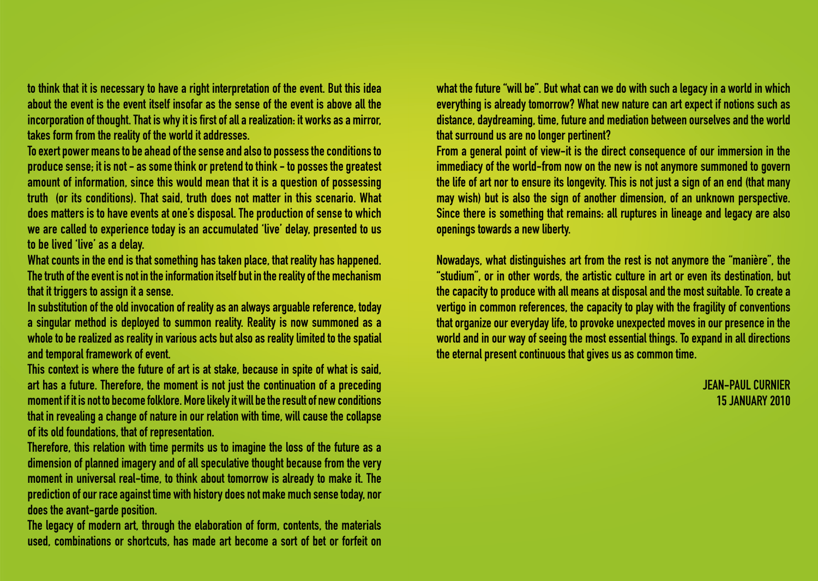to think that it is necessary to have a right interpretation of the event. But this idea about the event is the event itself insofar as the sense of the event is above all the incorporation of thought. That is why it is first of all a realization: it works as a mirror, takes form from the reality of the world it addresses.

To exert power means to be ahead of the sense and also to possess the conditions to produce sense; it is not - as some think or pretend to think - to posses the greatest amount of information, since this would mean that it is a question of possessing truth (or its conditions). That said, truth does not matter in this scenario. What does matters is to have events at one's disposal. The production of sense to which we are called to experience today is an accumulated 'live' delay, presented to us to be lived 'live' as a delay.

What counts in the end is that something has taken place, that reality has happened. The truth of the event is not in the information itself but in the reality of the mechanism that it triggers to assign it a sense.

In substitution of the old invocation of reality as an always arguable reference, today a singular method is deployed to summon reality. Reality is now summoned as a whole to be realized as reality in various acts but also as reality limited to the spatial and temporal framework of event.

This context is where the future of art is at stake, because in spite of what is said, art has a future. Therefore, the moment is not just the continuation of a preceding moment if it is not to become folklore. More likely it will be the result of new conditions that in revealing a change of nature in our relation with time, will cause the collapse of its old foundations, that of representation.

Therefore, this relation with time permits us to imagine the loss of the future as a dimension of planned imagery and of all speculative thought because from the very moment in universal real-time, to think about tomorrow is already to make it. The prediction of our race against time with history does not make much sense today, nor does the avant-garde position.

The legacy of modern art, through the elaboration of form, contents, the materials used, combinations or shortcuts, has made art become a sort of bet or forfeit on

what the future "will be". But what can we do with such a legacy in a world in which everything is already tomorrow? What new nature can art expect if notions such as distance, daydreaming, time, future and mediation between ourselves and the world that surround us are no longer pertinent?

From a general point of view-it is the direct consequence of our immersion in the immediacy of the world-from now on the new is not anymore summoned to govern the life of art nor to ensure its longevity. This is not just a sign of an end (that many may wish) but is also the sign of another dimension, of an unknown perspective. Since there is something that remains: all ruptures in lineage and legacy are also openings towards a new liberty.

Nowadays, what distinguishes art from the rest is not anymore the "manière", the "studium", or in other words, the artistic culture in art or even its destination, but the capacity to produce with all means at disposal and the most suitable. To create a vertigo in common references, the capacity to play with the fragility of conventions that organize our everyday life, to provoke unexpected moves in our presence in the world and in our way of seeing the most essential things. To expand in all directions the eternal present continuous that gives us as common time.

> Jean-Paul Curnier 15 january 2010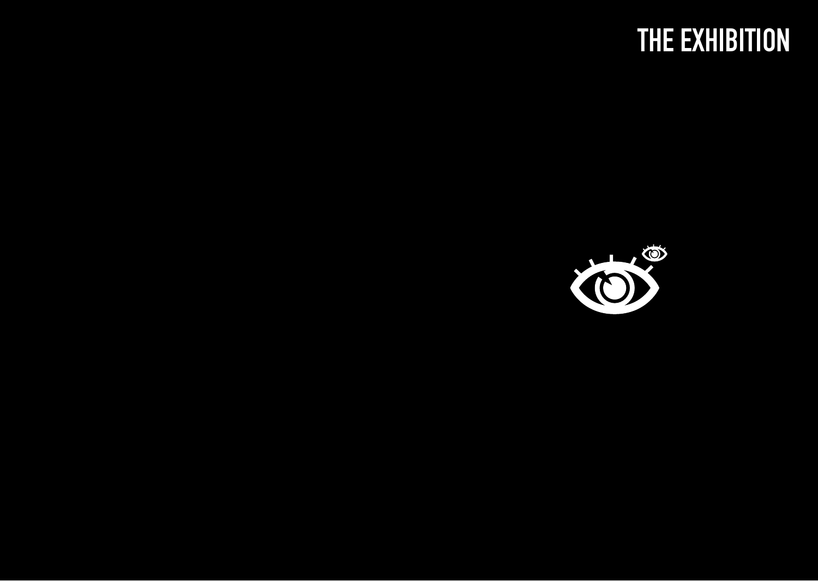# THE EXHIBITION

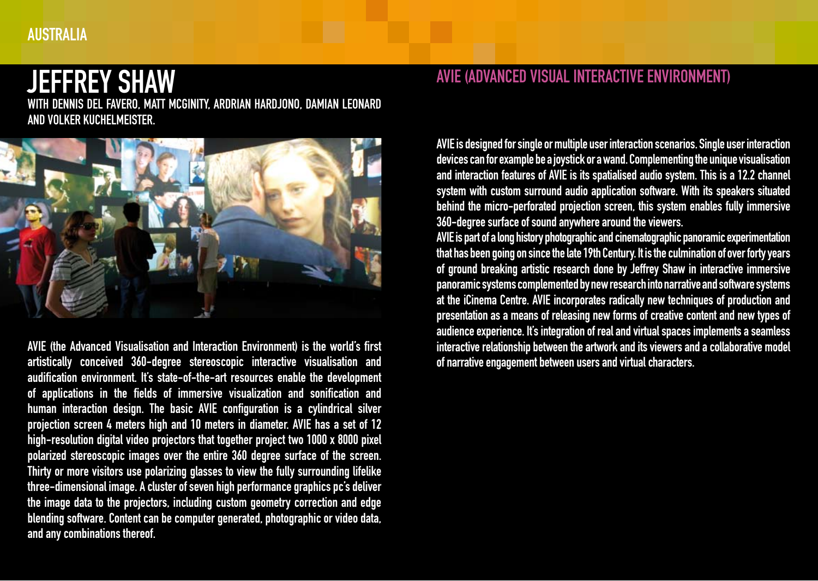### AUSTRALIA

## jeffrey SHAW

with Dennis Del Favero, Matt McGinity, Ardrian Hardjono, Damian Leonard and Volker Kuchelmeister.



AVIE (the Advanced Visualisation and Interaction Environment) is the world's first artistically conceived 360-degree stereoscopic interactive visualisation and audification environment. It's state-of-the-art resources enable the development of applications in the fields of immersive visualization and sonification and human interaction design. The basic AVIE configuration is a cylindrical silver projection screen 4 meters high and 10 meters in diameter. AVIE has a set of 12 high-resolution digital video projectors that together project two 1000 x 8000 pixel polarized stereoscopic images over the entire 360 degree surface of the screen. Thirty or more visitors use polarizing glasses to view the fully surrounding lifelike three-dimensional image. A cluster of seven high performance graphics pc's deliver the image data to the projectors, including custom geometry correction and edge blending software. Content can be computer generated, photographic or video data, and any combinations thereof.

### AVIE (Advanced Visual Interactive Environment)

AVIE is designed for single or multiple user interaction scenarios. Single user interaction devices can for example be a joystick or a wand. Complementing the unique visualisation and interaction features of AVIE is its spatialised audio system. This is a 12.2 channel system with custom surround audio application software. With its speakers situated behind the micro-perforated projection screen, this system enables fully immersive 360-degree surface of sound anywhere around the viewers.

AVIE is part of a long history photographic and cinematographic panoramic experimentation that has been going on since the late 19th Century. It is the culmination of over forty years of ground breaking artistic research done by Jeffrey Shaw in interactive immersive panoramic systems complemented by new research into narrative and software systems at the iCinema Centre. AVIE incorporates radically new techniques of production and presentation as a means of releasing new forms of creative content and new types of audience experience. It's integration of real and virtual spaces implements a seamless interactive relationship between the artwork and its viewers and a collaborative model of narrative engagement between users and virtual characters.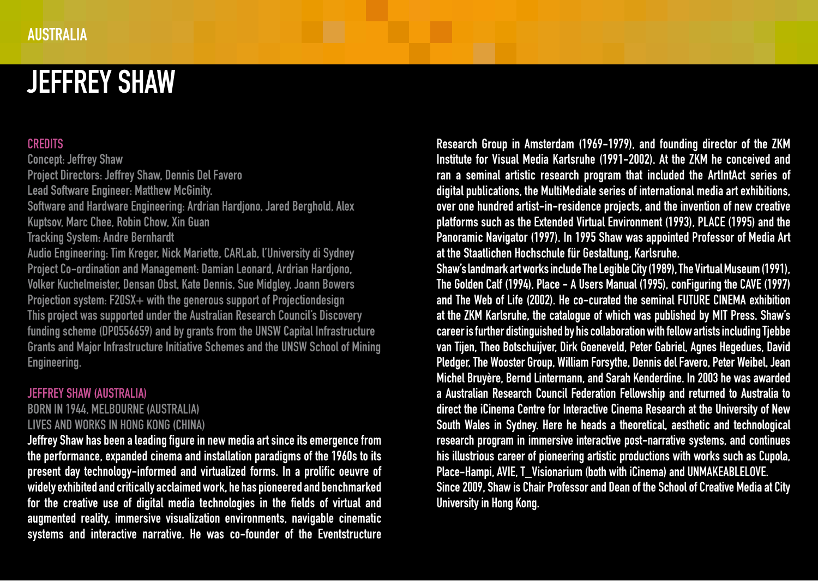# jeffrey SHAW

#### **CREDITS**

Concept: Jeffrey Shaw Project Directors: Jeffrey Shaw, Dennis Del Favero Lead Software Engineer: Matthew McGinity. Software and Hardware Engineering: Ardrian Hardjono, Jared Berghold, Alex Kuptsov, Marc Chee, Robin Chow, Xin Guan Tracking System: Andre Bernhardt Audio Engineering: Tim Kreger, Nick Mariette, CARLab, l'University di Sydney Project Co-ordination and Management: Damian Leonard, Ardrian Hardjono, Volker Kuchelmeister, Densan Obst, Kate Dennis, Sue Midgley, Joann Bowers Projection system: F20SX+ with the generous support of Projectiondesign This project was supported under the Australian Research Council's Discovery funding scheme (DP0556659) and by grants from the UNSW Capital Infrastructure Grants and Major Infrastructure Initiative Schemes and the UNSW School of Mining Engineering.

#### Jeffrey SHAW (Australia)

Born in 1944, Melbourne (Australia) Lives and works in Hong Kong (China)

Jeffrey Shaw has been a leading figure in new media art since its emergence from the performance, expanded cinema and installation paradigms of the 1960s to its present day technology-informed and virtualized forms. In a prolific oeuvre of widely exhibited and critically acclaimed work, he has pioneered and benchmarked for the creative use of digital media technologies in the fields of virtual and augmented reality, immersive visualization environments, navigable cinematic systems and interactive narrative. He was co-founder of the Eventstructure

Research Group in Amsterdam (1969-1979), and founding director of the ZKM Institute for Visual Media Karlsruhe (1991-2002). At the ZKM he conceived and ran a seminal artistic research program that included the ArtIntAct series of digital publications, the MultiMediale series of international media art exhibitions, over one hundred artist-in-residence projects, and the invention of new creative platforms such as the Extended Virtual Environment (1993), PLACE (1995) and the Panoramic Navigator (1997). In 1995 Shaw was appointed Professor of Media Art at the Staatlichen Hochschule für Gestaltung, Karlsruhe.

Shaw's landmark art works include The Legible City (1989), The Virtual Museum (1991), The Golden Calf (1994), Place - A Users Manual (1995), conFiguring the CAVE (1997) and The Web of Life (2002). He co-curated the seminal FUTURE CINEMA exhibition at the ZKM Karlsruhe, the catalogue of which was published by MIT Press. Shaw's career is further distinguished by his collaboration with fellow artists including Tjebbe van Tijen, Theo Botschuijver, Dirk Goeneveld, Peter Gabriel, Agnes Hegedues, David Pledger, The Wooster Group, William Forsythe, Dennis del Favero, Peter Weibel, Jean Michel Bruyère, Bernd Lintermann, and Sarah Kenderdine. In 2003 he was awarded a Australian Research Council Federation Fellowship and returned to Australia to direct the iCinema Centre for Interactive Cinema Research at the University of New South Wales in Sydney. Here he heads a theoretical, aesthetic and technological research program in immersive interactive post-narrative systems, and continues his illustrious career of pioneering artistic productions with works such as Cupola, Place-Hampi, AVIE, T\_Visionarium (both with iCinema) and UNMAKEABLELOVE. Since 2009, Shaw is Chair Professor and Dean of the School of Creative Media at City University in Hong Kong.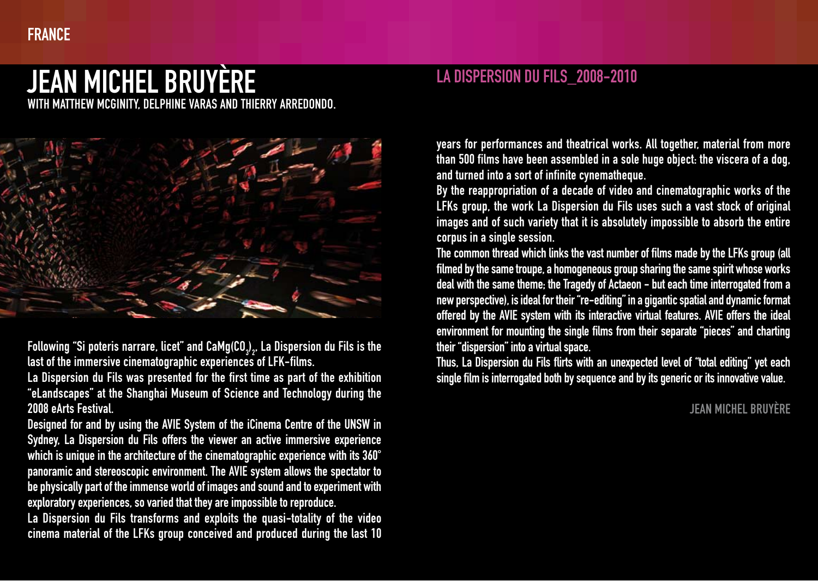### **FRANCE**

# Jean Michel Bruyère

with Matthew McGinity, Delphine Varas and Thierry Arredondo.



Following "Si poteris narrare, licet" and CaMg(CO $_3$ )<sub>2</sub>, La Dispersion du Fils is the 2 last of the immersive cinematographic experiences of LFK-films.

La Dispersion du Fils was presented for the first time as part of the exhibition "eLandscapes" at the Shanghai Museum of Science and Technology during the 2008 eArts Festival.

Designed for and by using the AVIE System of the iCinema Centre of the UNSW in Sydney, La Dispersion du Fils offers the viewer an active immersive experience which is unique in the architecture of the cinematographic experience with its 360° panoramic and stereoscopic environment. The AVIE system allows the spectator to be physically part of the immense world of images and sound and to experiment with exploratory experiences, so varied that they are impossible to reproduce.

La Dispersion du Fils transforms and exploits the quasi-totality of the video cinema material of the LFKs group conceived and produced during the last 10

### La Dispersion du Fils\_2008-2010

years for performances and theatrical works. All together, material from more than 500 films have been assembled in a sole huge object: the viscera of a dog, and turned into a sort of infinite cynematheque.

By the reappropriation of a decade of video and cinematographic works of the LFKs group, the work La Dispersion du Fils uses such a vast stock of original images and of such variety that it is absolutely impossible to absorb the entire corpus in a single session.

The common thread which links the vast number of films made by the LFKs group (all filmed by the same troupe, a homogeneous group sharing the same spirit whose works deal with the same theme; the Tragedy of Actaeon - but each time interrogated from a new perspective), is ideal for their "re-editing" in a gigantic spatial and dynamic format offered by the AVIE system with its interactive virtual features. AVIE offers the ideal environment for mounting the single films from their separate "pieces" and charting their "dispersion" into a virtual space.

Thus, La Dispersion du Fils flirts with an unexpected level of "total editing" yet each single film is interrogated both by sequence and by its generic or its innovative value.

### **JEAN MICHEL BRUYÈRE**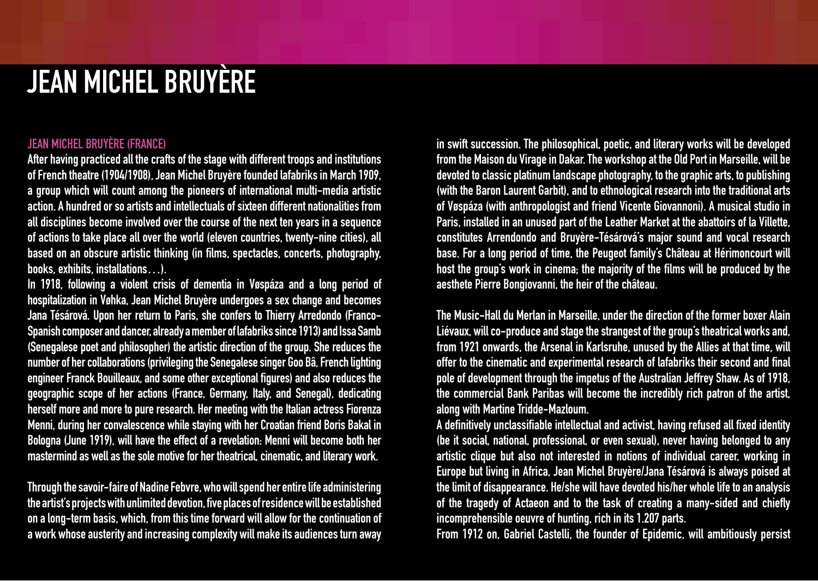# Jean Michel Bruyère

#### Jean Michel BRUYÈRE (France)

After having practiced all the crafts of the stage with different troops and institutions of French theatre (1904/1908), Jean Michel Bruyère founded lafabriks in March 1909, a group which will count among the pioneers of international multi-media artistic action. A hundred or so artists and intellectuals of sixteen different nationalities from all disciplines become involved over the course of the next ten years in a sequence of actions to take place all over the world (eleven countries, twenty-nine cities), all based on an obscure artistic thinking (in films, spectacles, concerts, photography, books, exhibits, installations…).

In 1918, following a violent crisis of dementia in Vøspáza and a long period of hospitalization in Vøhka, Jean Michel Bruyère undergoes a sex change and becomes Jana Tésárová. Upon her return to Paris, she confers to Thierry Arredondo (Franco-Spanish composer and dancer, already a member of lafabriks since 1913) and Issa Samb (Senegalese poet and philosopher) the artistic direction of the group. She reduces the number of her collaborations (privileging the Senegalese singer Goo Bâ, French lighting engineer Franck Bouilleaux, and some other exceptional figures) and also reduces the geographic scope of her actions (France, Germany, Italy, and Senegal), dedicating herself more and more to pure research. Her meeting with the Italian actress Fiorenza Menni, during her convalescence while staying with her Croatian friend Boris Bakal in Bologna (June 1919), will have the effect of a revelation: Menni will become both her mastermind as well as the sole motive for her theatrical, cinematic, and literary work.

Through the savoir-faire of Nadine Febvre, who will spend her entire life administering the artist's projects with unlimited devotion, five places of residence will be established on a long-term basis, which, from this time forward will allow for the continuation of a work whose austerity and increasing complexity will make its audiences turn away

in swift succession. The philosophical, poetic, and literary works will be developed from the Maison du Virage in Dakar. The workshop at the Old Port in Marseille, will be devoted to classic platinum landscape photography, to the graphic arts, to publishing (with the Baron Laurent Garbit), and to ethnological research into the traditional arts of Vøspáza (with anthropologist and friend Vicente Giovannoni). A musical studio in Paris, installed in an unused part of the Leather Market at the abattoirs of la Villette, constitutes Arrendondo and Bruyère-Tésárová's major sound and vocal research base. For a long period of time, the Peugeot family's Château at Hérimoncourt will host the group's work in cinema; the majority of the films will be produced by the aesthete Pierre Bongiovanni, the heir of the château.

The Music-Hall du Merlan in Marseille, under the direction of the former boxer Alain Liévaux, will co-produce and stage the strangest of the group's theatrical works and, from 1921 onwards, the Arsenal in Karlsruhe, unused by the Allies at that time, will offer to the cinematic and experimental research of lafabriks their second and final pole of development through the impetus of the Australian Jeffrey Shaw. As of 1918, the commercial Bank Paribas will become the incredibly rich patron of the artist, along with Martine Tridde-Mazloum.

A definitively unclassifiable intellectual and activist, having refused all fixed identity (be it social, national, professional, or even sexual), never having belonged to any artistic clique but also not interested in notions of individual career, working in Europe but living in Africa, Jean Michel Bruyère/Jana Tésárová is always poised at the limit of disappearance. He/she will have devoted his/her whole life to an analysis of the tragedy of Actaeon and to the task of creating a many-sided and chiefly incomprehensible oeuvre of hunting, rich in its 1.207 parts.

From 1912 on, Gabriel Castelli, the founder of Epidemic, will ambitiously persist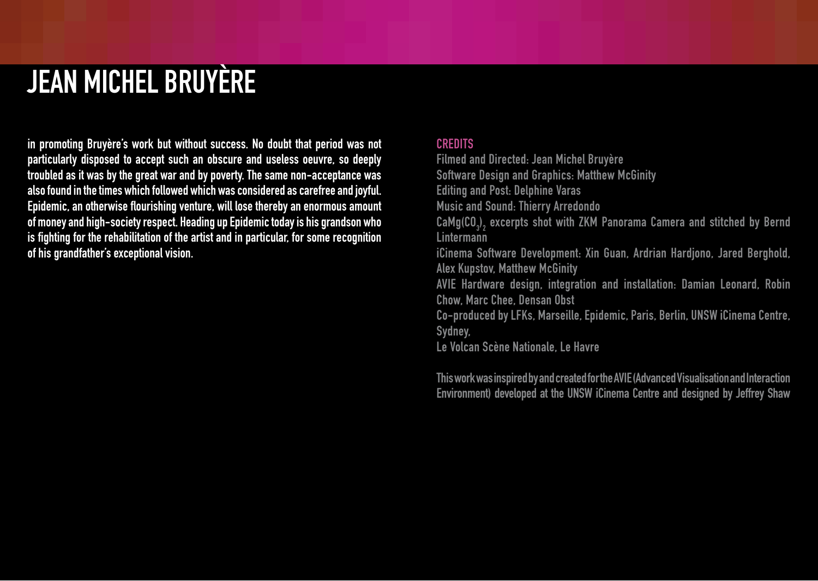# Jean Michel Bruyère

in promoting Bruyère's work but without success. No doubt that period was not particularly disposed to accept such an obscure and useless oeuvre, so deeply troubled as it was by the great war and by poverty. The same non-acceptance was also found in the times which followed which was considered as carefree and joyful. Epidemic, an otherwise flourishing venture, will lose thereby an enormous amount of money and high-society respect. Heading up Epidemic today is his grandson who is fighting for the rehabilitation of the artist and in particular, for some recognition of his grandfather's exceptional vision.

#### **CREDITS**

Filmed and Directed: Jean Michel Bruyère Software Design and Graphics: Matthew McGinity Editing and Post: Delphine Varas Music and Sound: Thierry Arredondo  $\mathsf{C}$ aMg(CO<sub>3</sub>)<sub>2</sub> excerpts shot with ZKM Panorama Camera and stitched by Bernd **Lintermann** iCinema Software Development: Xin Guan, Ardrian Hardjono, Jared Berghold, Alex Kupstov, Matthew McGinity AVIE Hardware design, integration and installation: Damian Leonard, Robin Chow, Marc Chee, Densan Obst Co-produced by LFKs, Marseille, Epidemic, Paris, Berlin, UNSW iCinema Centre, Sydney, Le Volcan Scène Nationale, Le Havre

This work was inspired by and created for the AVIE (Advanced Visualisation and Interaction Environment) developed at the UNSW iCinema Centre and designed by Jeffrey Shaw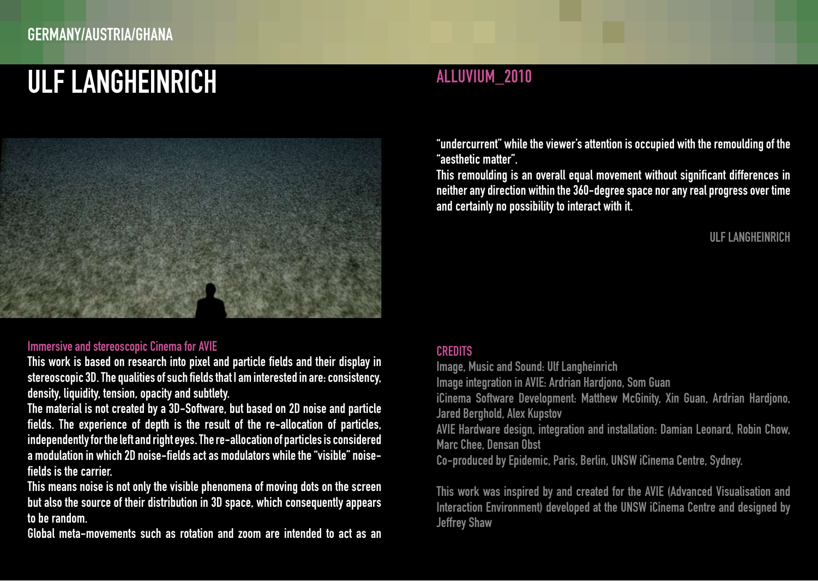# ULF LANGHEINRICH ALLUVIUM\_2010



#### Immersive and stereoscopic Cinema for AVIE

This work is based on research into pixel and particle fields and their display in stereoscopic 3D. The qualities of such fields that I am interested in are: consistency, density, liquidity, tension, opacity and subtlety.

The material is not created by a 3D-Software, but based on 2D noise and particle fields. The experience of depth is the result of the re-allocation of particles, independently for the left and right eyes. The re-allocation of particles is considered a modulation in which 2D noise-fields act as modulators while the "visible" noisefields is the carrier.

This means noise is not only the visible phenomena of moving dots on the screen but also the source of their distribution in 3D space, which consequently appears to be random.

Global meta-movements such as rotation and zoom are intended to act as an

"undercurrent" while the viewer's attention is occupied with the remoulding of the "aesthetic matter".

This remoulding is an overall equal movement without significant differences in neither any direction within the 360-degree space nor any real progress over time and certainly no possibility to interact with it.

### Ulf Langheinrich

#### **CREDITS**

Image, Music and Sound: Ulf Langheinrich

Image integration in AVIE: Ardrian Hardjono, Som Guan

iCinema Software Development: Matthew McGinity, Xin Guan, Ardrian Hardjono, Jared Berghold, Alex Kupstov

AVIE Hardware design, integration and installation: Damian Leonard, Robin Chow, Marc Chee, Densan Obst

Co-produced by Epidemic, Paris, Berlin, UNSW iCinema Centre, Sydney.

This work was inspired by and created for the AVIE (Advanced Visualisation and Interaction Environment) developed at the UNSW iCinema Centre and designed by Jeffrey Shaw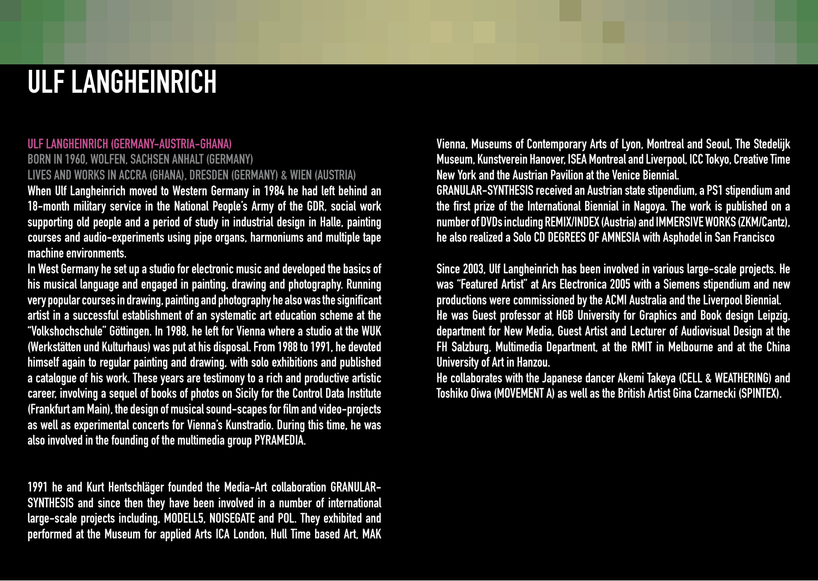# Ulf LANGHEINRICH

### Ulf LANGHEINRICH (germany-Austria-Ghana)

Born in 1960, Wolfen, Sachsen Anhalt (Germany) Lives and works in Accra (Ghana), Dresden (Germany) & Wien (Austria)

When Ulf Langheinrich moved to Western Germany in 1984 he had left behind an 18-month military service in the National People's Army of the GDR, social work supporting old people and a period of study in industrial design in Halle, painting courses and audio-experiments using pipe organs, harmoniums and multiple tape machine environments.

In West Germany he set up a studio for electronic music and developed the basics of his musical language and engaged in painting, drawing and photography. Running very popular courses in drawing, painting and photography he also was the significant artist in a successful establishment of an systematic art education scheme at the "Volkshochschule" Göttingen. In 1988, he left for Vienna where a studio at the WUK (Werkstätten und Kulturhaus) was put at his disposal. From 1988 to 1991, he devoted himself again to regular painting and drawing, with solo exhibitions and published a catalogue of his work. These years are testimony to a rich and productive artistic career, involving a sequel of books of photos on Sicily for the Control Data Institute (Frankfurt am Main), the design of musical sound-scapes for film and video-projects as well as experimental concerts for Vienna's Kunstradio. During this time, he was also involved in the founding of the multimedia group PYRAMEDIA.

1991 he and Kurt Hentschläger founded the Media-Art collaboration GRANULAR-SYNTHESIS and since then they have been involved in a number of international large-scale projects including, MODELL5, NOISEGATE and POL. They exhibited and performed at the Museum for applied Arts ICA London, Hull Time based Art, MAK Vienna, Museums of Contemporary Arts of Lyon, Montreal and Seoul, The Stedelijk Museum, Kunstverein Hanover, ISEA Montreal and Liverpool, ICC Tokyo, Creative Time New York and the Austrian Pavilion at the Venice Biennial.

GRANULAR-SYNTHESIS received an Austrian state stipendium, a PS1 stipendium and the first prize of the International Biennial in Nagoya. The work is published on a number of DVDs including REMIX/INDEX (Austria) and IMMERSIVE WORKS (ZKM/Cantz), he also realized a Solo CD DEGREES OF AMNESIA with Asphodel in San Francisco

Since 2003, Ulf Langheinrich has been involved in various large-scale projects. He was "Featured Artist" at Ars Electronica 2005 with a Siemens stipendium and new productions were commissioned by the ACMI Australia and the Liverpool Biennial. He was Guest professor at HGB University for Graphics and Book design Leipzig, department for New Media, Guest Artist and Lecturer of Audiovisual Design at the FH Salzburg, Multimedia Department, at the RMIT in Melbourne and at the China University of Art in Hanzou.

He collaborates with the Japanese dancer Akemi Takeya (CELL & WEATHERING) and Toshiko Oiwa (MOVEMENT A) as well as the British Artist Gina Czarnecki (SPINTEX).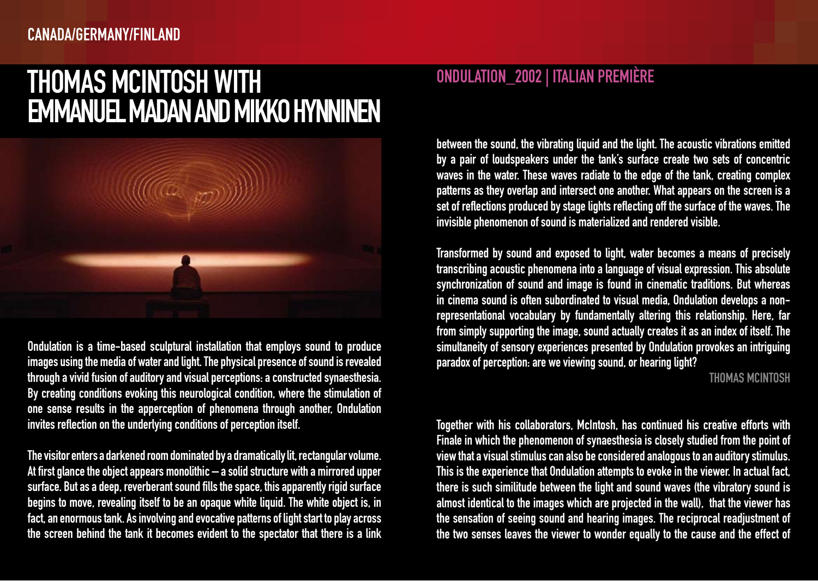### Thomas McIntosh with **EMMANUEL MADAN AND MIKKO HYNNINEN**



Ondulation is a time-based sculptural installation that employs sound to produce images using the media of water and light. The physical presence of sound is revealed through a vivid fusion of auditory and visual perceptions: a constructed synaesthesia. By creating conditions evoking this neurological condition, where the stimulation of one sense results in the apperception of phenomena through another, Ondulation invites reflection on the underlying conditions of perception itself.

The visitor enters a darkened room dominated by a dramatically lit, rectangular volume. At first glance the object appears monolithic – a solid structure with a mirrored upper surface. But as a deep, reverberant sound fills the space, this apparently rigid surface begins to move, revealing itself to be an opaque white liquid. The white object is, in fact, an enormous tank. As involving and evocative patterns of light start to play across the screen behind the tank it becomes evident to the spectator that there is a link

### Ondulation\_2002 | Italian Première

between the sound, the vibrating liquid and the light. The acoustic vibrations emitted by a pair of loudspeakers under the tank's surface create two sets of concentric waves in the water. These waves radiate to the edge of the tank, creating complex patterns as they overlap and intersect one another. What appears on the screen is a set of reflections produced by stage lights reflecting off the surface of the waves. The invisible phenomenon of sound is materialized and rendered visible.

Transformed by sound and exposed to light, water becomes a means of precisely transcribing acoustic phenomena into a language of visual expression. This absolute synchronization of sound and image is found in cinematic traditions. But whereas in cinema sound is often subordinated to visual media, Ondulation develops a nonrepresentational vocabulary by fundamentally altering this relationship. Here, far from simply supporting the image, sound actually creates it as an index of itself. The simultaneity of sensory experiences presented by Ondulation provokes an intriguing paradox of perception: are we viewing sound, or hearing light?

Thomas McIntosh

Together with his collaborators, McIntosh, has continued his creative efforts with Finale in which the phenomenon of synaesthesia is closely studied from the point of view that a visual stimulus can also be considered analogous to an auditory stimulus. This is the experience that Ondulation attempts to evoke in the viewer. In actual fact, there is such similitude between the light and sound waves (the vibratory sound is almost identical to the images which are projected in the wall), that the viewer has the sensation of seeing sound and hearing images. The reciprocal readjustment of the two senses leaves the viewer to wonder equally to the cause and the effect of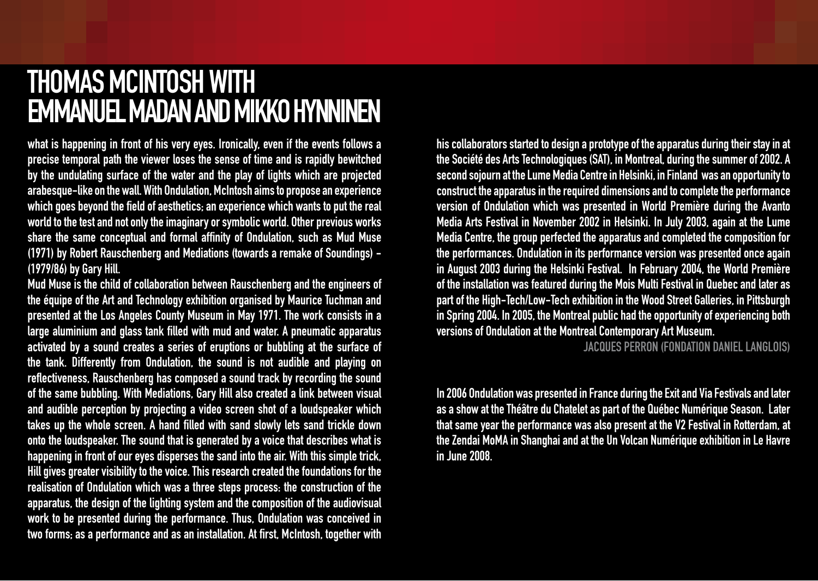### Thomas McIntosh with **EMMANUEL MADAN AND MIKKO HYNNINEN**

what is happening in front of his very eyes. Ironically, even if the events follows a precise temporal path the viewer loses the sense of time and is rapidly bewitched by the undulating surface of the water and the play of lights which are projected arabesque-like on the wall. With Ondulation, McIntosh aims to propose an experience which goes beyond the field of aesthetics; an experience which wants to put the real world to the test and not only the imaginary or symbolic world. Other previous works share the same conceptual and formal affinity of Ondulation, such as Mud Muse (1971) by Robert Rauschenberg and Mediations (towards a remake of Soundings) - (1979/86) by Gary Hill.

Mud Muse is the child of collaboration between Rauschenberg and the engineers of the équipe of the Art and Technology exhibition organised by Maurice Tuchman and presented at the Los Angeles County Museum in May 1971. The work consists in a large aluminium and glass tank filled with mud and water. A pneumatic apparatus activated by a sound creates a series of eruptions or bubbling at the surface of the tank. Differently from Ondulation, the sound is not audible and playing on reflectiveness, Rauschenberg has composed a sound track by recording the sound of the same bubbling. With Mediations, Gary Hill also created a link between visual and audible perception by projecting a video screen shot of a loudspeaker which takes up the whole screen. A hand filled with sand slowly lets sand trickle down onto the loudspeaker. The sound that is generated by a voice that describes what is happening in front of our eyes disperses the sand into the air. With this simple trick, Hill gives greater visibility to the voice. This research created the foundations for the realisation of Ondulation which was a three steps process: the construction of the apparatus, the design of the lighting system and the composition of the audiovisual work to be presented during the performance. Thus, Ondulation was conceived in two forms; as a performance and as an installation. At first, McIntosh, together with

his collaborators started to design a prototype of the apparatus during their stay in at the Société des Arts Technologiques (SAT), in Montreal, during the summer of 2002. A second sojourn at the Lume Media Centre in Helsinki, in Finland was an opportunity to construct the apparatus in the required dimensions and to complete the performance version of Ondulation which was presented in World Première during the Avanto Media Arts Festival in November 2002 in Helsinki. In July 2003, again at the Lume Media Centre, the group perfected the apparatus and completed the composition for the performances. Ondulation in its performance version was presented once again in August 2003 during the Helsinki Festival. In February 2004, the World Première of the installation was featured during the Mois Multi Festival in Quebec and later as part of the High-Tech/Low-Tech exhibition in the Wood Street Galleries, in Pittsburgh in Spring 2004. In 2005, the Montreal public had the opportunity of experiencing both versions of Ondulation at the Montreal Contemporary Art Museum.

Jacques Perron (Fondation Daniel Langlois)

In 2006 Ondulation was presented in France during the Exit and Via Festivals and later as a show at the Théâtre du Chatelet as part of the Québec Numérique Season. Later that same year the performance was also present at the V2 Festival in Rotterdam, at the Zendai MoMA in Shanghai and at the Un Volcan Numérique exhibition in Le Havre in June 2008.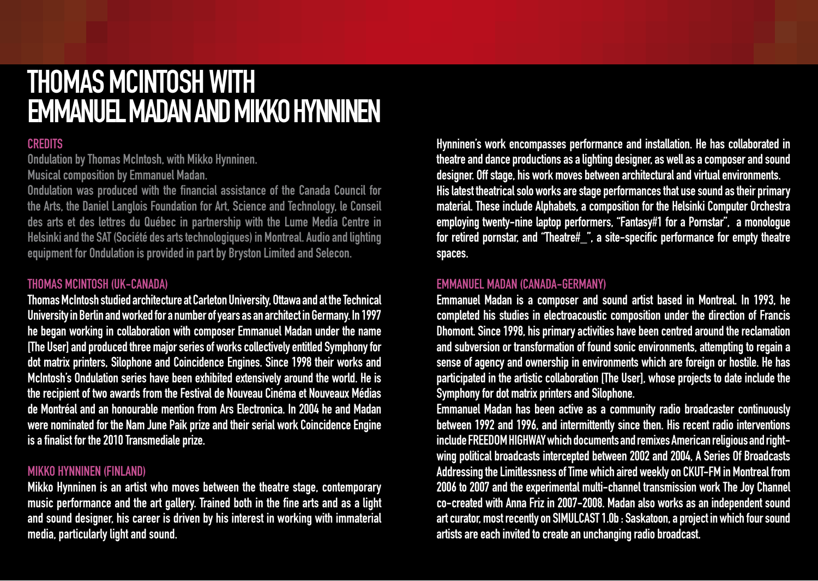### Thomas McIntosh with **EMMANUEL MADAN AND MIKKO HYNNINEN**

### **CREDITS**

Ondulation by Thomas McIntosh, with Mikko Hynninen.

Musical composition by Emmanuel Madan.

Ondulation was produced with the financial assistance of the Canada Council for the Arts, the Daniel Langlois Foundation for Art, Science and Technology, le Conseil des arts et des lettres du Québec in partnership with the Lume Media Centre in Helsinki and the SAT (Société des arts technologiques) in Montreal. Audio and lighting equipment for Ondulation is provided in part by Bryston Limited and Selecon.

### Thomas McINTOSH (UK-Canada)

Thomas McIntosh studied architecture at Carleton University, Ottawa and at the Technical University in Berlin and worked for a number of years as an architect in Germany. In 1997 he began working in collaboration with composer Emmanuel Madan under the name [The User] and produced three major series of works collectively entitled Symphony for dot matrix printers, Silophone and Coincidence Engines. Since 1998 their works and McIntosh's Ondulation series have been exhibited extensively around the world. He is the recipient of two awards from the Festival de Nouveau Cinéma et Nouveaux Médias de Montréal and an honourable mention from Ars Electronica. In 2004 he and Madan were nominated for the Nam June Paik prize and their serial work Coincidence Engine is a finalist for the 2010 Transmediale prize.

#### Mikko HYNNINEN (Finland)

Mikko Hynninen is an artist who moves between the theatre stage, contemporary music performance and the art gallery. Trained both in the fine arts and as a light and sound designer, his career is driven by his interest in working with immaterial media, particularly light and sound.

Hynninen's work encompasses performance and installation. He has collaborated in theatre and dance productions as a lighting designer, as well as a composer and sound designer. Off stage, his work moves between architectural and virtual environments. His latest theatrical solo works are stage performances that use sound as their primary material. These include Alphabets, a composition for the Helsinki Computer Orchestra employing twenty-nine laptop performers, "Fantasy#1 for a Pornstar", a monologue for retired pornstar, and "Theatre#\_", a site-specific performance for empty theatre spaces.

### Emmanuel MADAN (Canada-Germany)

Emmanuel Madan is a composer and sound artist based in Montreal. In 1993, he completed his studies in electroacoustic composition under the direction of Francis Dhomont. Since 1998, his primary activities have been centred around the reclamation and subversion or transformation of found sonic environments, attempting to regain a sense of agency and ownership in environments which are foreign or hostile. He has participated in the artistic collaboration [The User], whose projects to date include the Symphony for dot matrix printers and Silophone.

Emmanuel Madan has been active as a community radio broadcaster continuously between 1992 and 1996, and intermittently since then. His recent radio interventions include FREEDOMHIGHWAY which documents and remixes American religious and rightwing political broadcasts intercepted between 2002 and 2004, A Series Of Broadcasts Addressing the Limitlessness of Time which aired weekly on CKUT-FM in Montreal from 2006 to 2007 and the experimental multi-channel transmission work The Joy Channel co-created with Anna Friz in 2007-2008. Madan also works as an independent sound art curator, most recently on SIMULCAST 1.0b : Saskatoon, a project in which four sound artists are each invited to create an unchanging radio broadcast.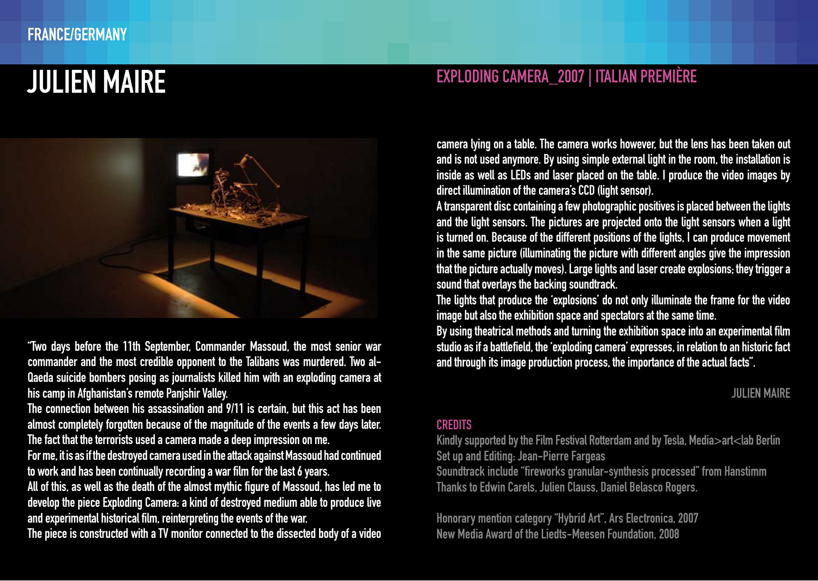

"Two days before the 11th September, Commander Massoud, the most senior war commander and the most credible opponent to the Talibans was murdered. Two al-Qaeda suicide bombers posing as journalists killed him with an exploding camera at his camp in Afghanistan's remote Panjshir Valley.

The connection between his assassination and 9/11 is certain, but this act has been almost completely forgotten because of the magnitude of the events a few days later. The fact that the terrorists used a camera made a deep impression on me.

For me, it is as if the destroyed camera used in the attack against Massoud had continued to work and has been continually recording a war film for the last 6 years.

All of this, as well as the death of the almost mythic figure of Massoud, has led me to develop the piece Exploding Camera: a kind of destroyed medium able to produce live and experimental historical film, reinterpreting the events of the war.

The piece is constructed with a TV monitor connected to the dissected body of a video

### Julien Maire Exploding Camera\_2007 | Italian Première

camera lying on a table. The camera works however, but the lens has been taken out and is not used anymore. By using simple external light in the room, the installation is inside as well as LEDs and laser placed on the table. I produce the video images by direct illumination of the camera's CCD (light sensor).

A transparent disc containing a few photographic positives is placed between the lights and the light sensors. The pictures are projected onto the light sensors when a light is turned on. Because of the different positions of the lights, I can produce movement in the same picture (illuminating the picture with different angles give the impression that the picture actually moves). Large lights and laser create explosions; they trigger a sound that overlays the backing soundtrack.

The lights that produce the 'explosions' do not only illuminate the frame for the video image but also the exhibition space and spectators at the same time.

By using theatrical methods and turning the exhibition space into an experimental film studio as if a battlefield, the 'exploding camera' expresses, in relation to an historic fact and through its image production process, the importance of the actual facts".

Julien Maire

#### **CREDITS**

Kindly supported by the Film Festival Rotterdam and by Tesla, Media>art<lab Berlin Set up and Editing: Jean-Pierre Fargeas

Soundtrack include "fireworks granular-synthesis processed" from Hanstimm Thanks to Edwin Carels, Julien Clauss, Daniel Belasco Rogers.

Honorary mention category "Hybrid Art", Ars Electronica, 2007 New Media Award of the Liedts-Meesen Foundation, 2008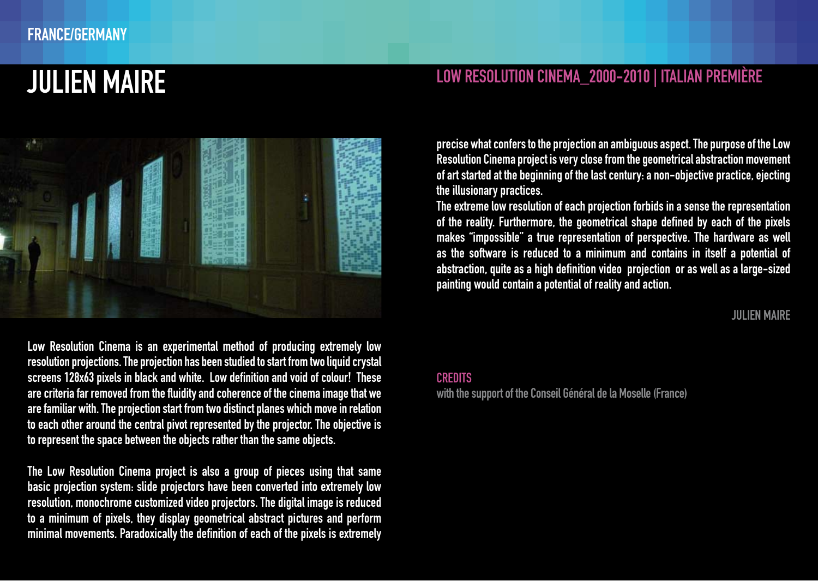



Low Resolution Cinema is an experimental method of producing extremely low resolution projections. The projection has been studied to start from two liquid crystal screens 128x63 pixels in black and white. Low definition and void of colour! These are criteria far removed from the fluidity and coherence of the cinema image that we are familiar with. The projection start from two distinct planes which move in relation to each other around the central pivot represented by the projector. The objective is to represent the space between the objects rather than the same objects.

The Low Resolution Cinema project is also a group of pieces using that same basic projection system: slide projectors have been converted into extremely low resolution, monochrome customized video projectors. The digital image is reduced to a minimum of pixels, they display geometrical abstract pictures and perform minimal movements. Paradoxically the definition of each of the pixels is extremely precise what confers to the projection an ambiguous aspect. The purpose of the Low Resolution Cinema project is very close from the geometrical abstraction movement of art started at the beginning of the last century: a non-objective practice, ejecting the illusionary practices.

The extreme low resolution of each projection forbids in a sense the representation of the reality. Furthermore, the geometrical shape defined by each of the pixels makes "impossible" a true representation of perspective. The hardware as well as the software is reduced to a minimum and contains in itself a potential of abstraction, quite as a high definition video projection or as well as a large-sized painting would contain a potential of reality and action.

Julien Maire

#### **CREDITS**

with the support of the Conseil Général de la Moselle (France)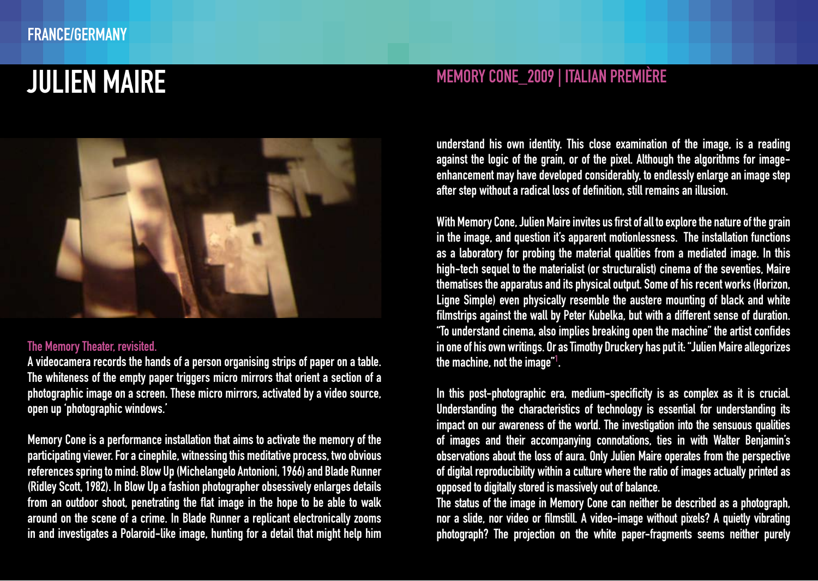

#### The Memory Theater, revisited.

A videocamera records the hands of a person organising strips of paper on a table. The whiteness of the empty paper triggers micro mirrors that orient a section of a photographic image on a screen. These micro mirrors, activated by a video source, open up 'photographic windows.'

Memory Cone is a performance installation that aims to activate the memory of the participating viewer. For a cinephile, witnessing this meditative process, two obvious references spring to mind: Blow Up (Michelangelo Antonioni, 1966) and Blade Runner (Ridley Scott, 1982). In Blow Up a fashion photographer obsessively enlarges details from an outdoor shoot, penetrating the flat image in the hope to be able to walk around on the scene of a crime. In Blade Runner a replicant electronically zooms in and investigates a Polaroid-like image, hunting for a detail that might help him

### JULIEN MAIRE MEMORY CONE\_2009 | ITALIAN PREMIÈRE

understand his own identity. This close examination of the image, is a reading against the logic of the grain, or of the pixel. Although the algorithms for imageenhancement may have developed considerably, to endlessly enlarge an image step after step without a radical loss of definition, still remains an illusion.

With Memory Cone, Julien Maire invites us first of all to explore the nature of the grain in the image, and question it's apparent motionlessness. The installation functions as a laboratory for probing the material qualities from a mediated image. In this high-tech sequel to the materialist (or structuralist) cinema of the seventies, Maire thematises the apparatus and its physical output. Some of his recent works (Horizon, Ligne Simple) even physically resemble the austere mounting of black and white filmstrips against the wall by Peter Kubelka, but with a different sense of duration. "To understand cinema, also implies breaking open the machine" the artist confides in one of his own writings. Or as Timothy Druckery has put it: "Julien Maire allegorizes the machine, not the image" $\frac{1}{1}$ . .

In this post-photographic era, medium-specificity is as complex as it is crucial. Understanding the characteristics of technology is essential for understanding its impact on our awareness of the world. The investigation into the sensuous qualities of images and their accompanying connotations, ties in with Walter Benjamin's observations about the loss of aura. Only Julien Maire operates from the perspective of digital reproducibility within a culture where the ratio of images actually printed as opposed to digitally stored is massively out of balance.

The status of the image in Memory Cone can neither be described as a photograph, nor a slide, nor video or filmstill. A video-image without pixels? A quietly vibrating photograph? The projection on the white paper-fragments seems neither purely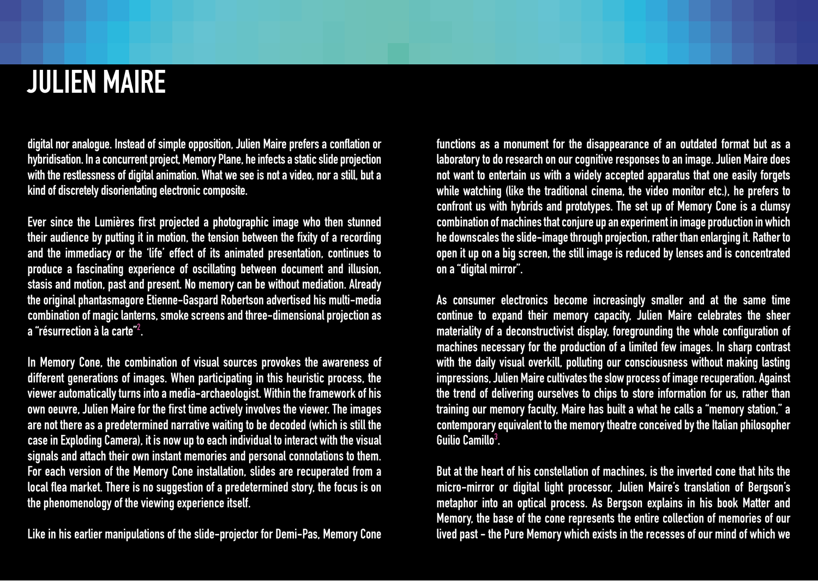## Julien Maire

digital nor analogue. Instead of simple opposition, Julien Maire prefers a conflation or hybridisation. In a concurrent project, Memory Plane, he infects a static slide projection with the restlessness of digital animation. What we see is not a video, nor a still, but a kind of discretely disorientating electronic composite.

Ever since the Lumières first projected a photographic image who then stunned their audience by putting it in motion, the tension between the fixity of a recording and the immediacy or the 'life' effect of its animated presentation, continues to produce a fascinating experience of oscillating between document and illusion, stasis and motion, past and present. No memory can be without mediation. Already the original phantasmagore Etienne-Gaspard Robertson advertised his multi-media combination of magic lanterns, smoke screens and three-dimensional projection as a "résurrection à la carte" $^{\rm 2}$  .

In Memory Cone, the combination of visual sources provokes the awareness of different generations of images. When participating in this heuristic process, the viewer automatically turns into a media-archaeologist. Within the framework of his own oeuvre, Julien Maire for the first time actively involves the viewer. The images are not there as a predetermined narrative waiting to be decoded (which is still the case in Exploding Camera), it is now up to each individual to interact with the visual signals and attach their own instant memories and personal connotations to them. For each version of the Memory Cone installation, slides are recuperated from a local flea market. There is no suggestion of a predetermined story, the focus is on the phenomenology of the viewing experience itself.

Like in his earlier manipulations of the slide-projector for Demi-Pas, Memory Cone

functions as a monument for the disappearance of an outdated format but as a laboratory to do research on our cognitive responses to an image. Julien Maire does not want to entertain us with a widely accepted apparatus that one easily forgets while watching (like the traditional cinema, the video monitor etc.), he prefers to confront us with hybrids and prototypes. The set up of Memory Cone is a clumsy combination of machines that conjure up an experiment in image production in which he downscales the slide-image through projection, rather than enlarging it. Rather to open it up on a big screen, the still image is reduced by lenses and is concentrated on a "digital mirror".

As consumer electronics become increasingly smaller and at the same time continue to expand their memory capacity, Julien Maire celebrates the sheer materiality of a deconstructivist display, foregrounding the whole configuration of machines necessary for the production of a limited few images. In sharp contrast with the daily visual overkill, polluting our consciousness without making lasting impressions, Julien Maire cultivates the slow process of image recuperation. Against the trend of delivering ourselves to chips to store information for us, rather than training our memory faculty, Maire has built a what he calls a "memory station," a contemporary equivalent to the memory theatre conceived by the Italian philosopher Guilio Camillo $3$ . .

But at the heart of his constellation of machines, is the inverted cone that hits the micro-mirror or digital light processor, Julien Maire's translation of Bergson's metaphor into an optical process. As Bergson explains in his book Matter and Memory, the base of the cone represents the entire collection of memories of our lived past - the Pure Memory which exists in the recesses of our mind of which we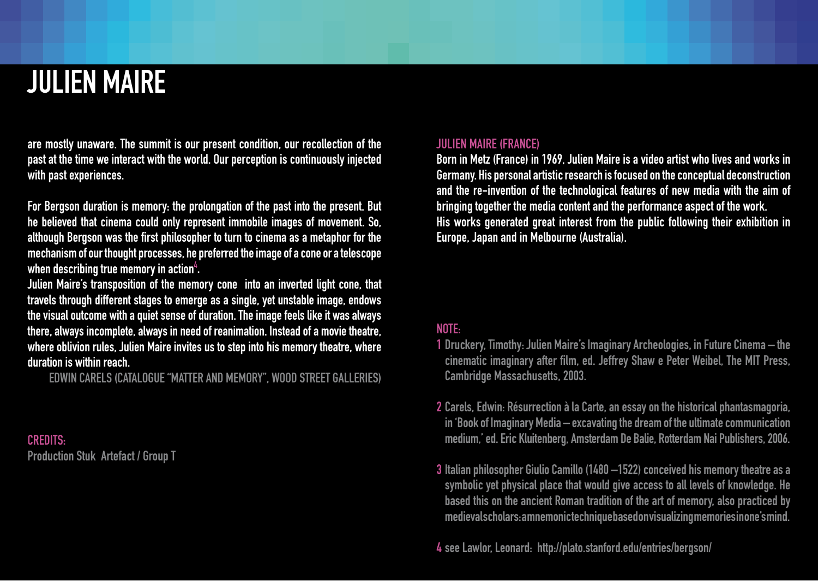## Julien Maire

are mostly unaware. The summit is our present condition, our recollection of the past at the time we interact with the world. Our perception is continuously injected with past experiences.

For Bergson duration is memory: the prolongation of the past into the present. But he believed that cinema could only represent immobile images of movement. So, although Bergson was the first philosopher to turn to cinema as a metaphor for the mechanism of our thought processes, he preferred the image of a cone or a telescope when describing true memory in action $^4$ .

Julien Maire's transposition of the memory cone into an inverted light cone, that travels through different stages to emerge as a single, yet unstable image, endows the visual outcome with a quiet sense of duration. The image feels like it was always there, always incomplete, always in need of reanimation. Instead of a movie theatre, where oblivion rules, Julien Maire invites us to step into his memory theatre, where duration is within reach.

Edwin Carels (Catalogue "Matter and Memory", Wood Street GaLleries)

CREDITS: Production Stuk Artefact / Group T

#### Julien Maire (France)

Born in Metz (France) in 1969, Julien Maire is a video artist who lives and works in Germany. His personal artistic research is focused on the conceptual deconstruction and the re-invention of the technological features of new media with the aim of bringing together the media content and the performance aspect of the work. His works generated great interest from the public following their exhibition in Europe, Japan and in Melbourne (Australia).

#### NOTE:

- 1 Druckery, Timothy: Julien Maire's Imaginary Archeologies, in Future Cinema the cinematic imaginary after film, ed. Jeffrey Shaw e Peter Weibel, The MIT Press, Cambridge Massachusetts, 2003.
- 2 Carels, Edwin: Résurrection à la Carte, an essay on the historical phantasmagoria, in 'Book of Imaginary Media – excavating the dream of the ultimate communication medium,' ed. Eric Kluitenberg, Amsterdam De Balie, Rotterdam Nai Publishers, 2006.
- 3 Italian philosopher Giulio Camillo (1480 –1522) conceived his memory theatre as a symbolic yet physical place that would give access to all levels of knowledge. He based this on the ancient Roman tradition of the art of memory, also practiced by medieval scholars: a mnemonic technique based on visualizing memories in one's mind.

4 see Lawlor, Leonard: http://plato.stanford.edu/entries/bergson/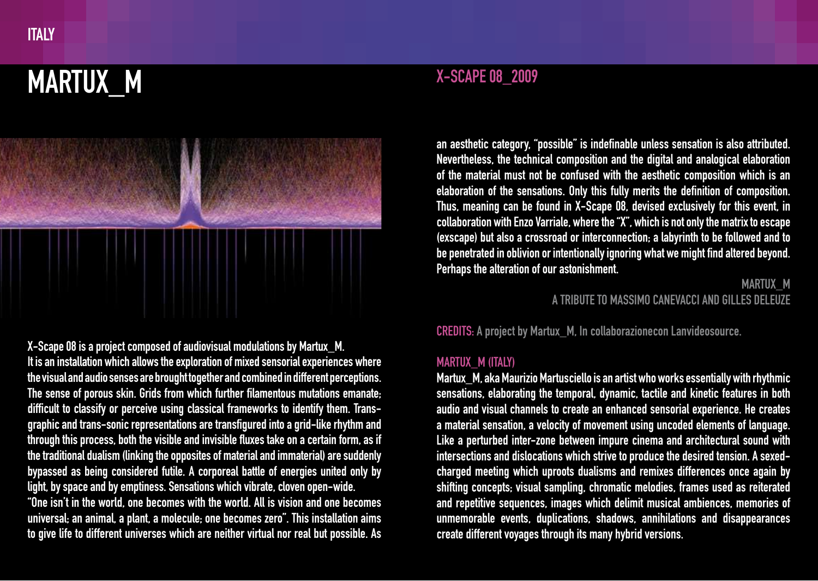## MARTUX M



X-Scape 08 is a project composed of audiovisual modulations by Martux\_M. It is an installation which allows the exploration of mixed sensorial experiences where the visual and audio senses are brought together and combined in different perceptions. The sense of porous skin. Grids from which further filamentous mutations emanate; difficult to classify or perceive using classical frameworks to identify them. Transgraphic and trans-sonic representations are transfigured into a grid-like rhythm and through this process, both the visible and invisible fluxes take on a certain form, as if the traditional dualism (linking the opposites of material and immaterial) are suddenly bypassed as being considered futile. A corporeal battle of energies united only by light, by space and by emptiness. Sensations which vibrate, cloven open-wide. "One isn't in the world, one becomes with the world. All is vision and one becomes universal; an animal, a plant, a molecule; one becomes zero". This installation aims to give life to different universes which are neither virtual nor real but possible. As

an aesthetic category, "possible" is indefinable unless sensation is also attributed. Nevertheless, the technical composition and the digital and analogical elaboration of the material must not be confused with the aesthetic composition which is an elaboration of the sensations. Only this fully merits the definition of composition. Thus, meaning can be found in X-Scape 08, devised exclusively for this event, in collaboration with Enzo Varriale, where the "X", which is not only the matrix to escape (exscape) but also a crossroad or interconnection; a labyrinth to be followed and to be penetrated in oblivion or intentionally ignoring what we might find altered beyond. Perhaps the alteration of our astonishment.

#### MARTUX\_M a tribute to Massimo Canevacci and Gilles Deleuze

CREDITS: A project by Martux\_M, In collaborazionecon Lanvideosource.

#### MARTUX M (ITALY)

Martux\_M, aka Maurizio Martusciello is an artist who works essentially with rhythmic sensations, elaborating the temporal, dynamic, tactile and kinetic features in both audio and visual channels to create an enhanced sensorial experience. He creates a material sensation, a velocity of movement using uncoded elements of language. Like a perturbed inter-zone between impure cinema and architectural sound with intersections and dislocations which strive to produce the desired tension. A sexedcharged meeting which uproots dualisms and remixes differences once again by shifting concepts; visual sampling, chromatic melodies, frames used as reiterated and repetitive sequences, images which delimit musical ambiences, memories of unmemorable events, duplications, shadows, annihilations and disappearances create different voyages through its many hybrid versions.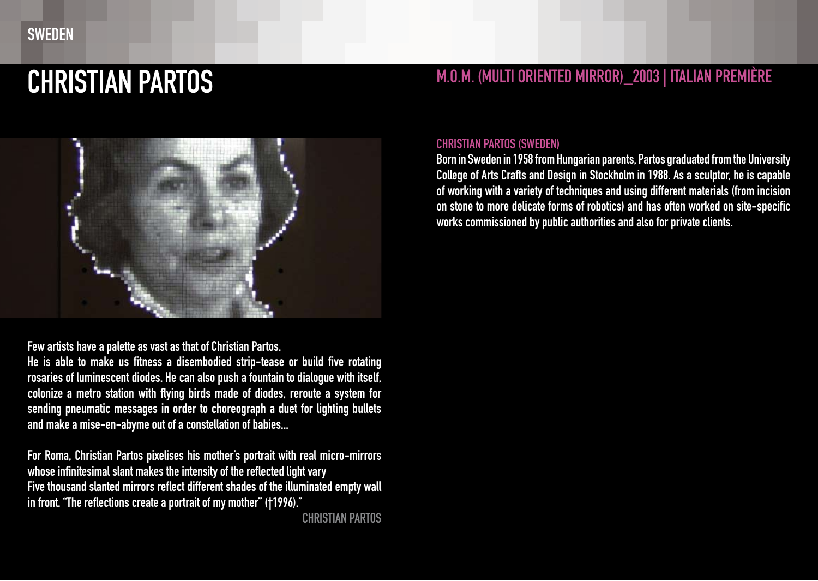

#### Few artists have a palette as vast as that of Christian Partos.

He is able to make us fitness a disembodied strip-tease or build five rotating rosaries of luminescent diodes. He can also push a fountain to dialogue with itself, colonize a metro station with flying birds made of diodes, reroute a system for sending pneumatic messages in order to choreograph a duet for lighting bullets and make a mise-en-abyme out of a constellation of babies...

For Roma, Christian Partos pixelises his mother's portrait with real micro-mirrors whose infinitesimal slant makes the intensity of the reflected light vary Five thousand slanted mirrors reflect different shades of the illuminated empty wall in front. "The reflections create a portrait of my mother" (†1996)."

Christian Partos

### CHRISTIAN PARTOS M.O.M. (MULTI ORIENTED MIRROR)\_2003 | ITALIAN PREMIÈRE

#### Christian PARTOS (Sweden)

Born in Sweden in 1958 from Hungarian parents, Partos graduated from the University College of Arts Crafts and Design in Stockholm in 1988. As a sculptor, he is capable of working with a variety of techniques and using different materials (from incision on stone to more delicate forms of robotics) and has often worked on site-specific works commissioned by public authorities and also for private clients.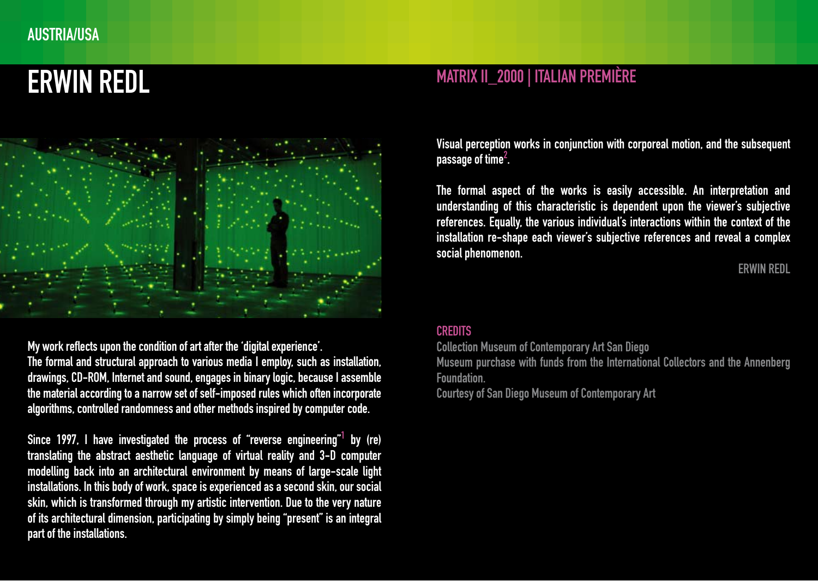### austria/usa



My work reflects upon the condition of art after the 'digital experience'.

The formal and structural approach to various media I employ, such as installation, drawings, CD-ROM, Internet and sound, engages in binary logic, because I assemble the material according to a narrow set of self-imposed rules which often incorporate algorithms, controlled randomness and other methods inspired by computer code.

Since 1997, I have investigated the process of "reverse engineering" $^{\rm 1}$  by (re) translating the abstract aesthetic language of virtual reality and 3-D computer modelling back into an architectural environment by means of large-scale light installations. In this body of work, space is experienced as a second skin, our social skin, which is transformed through my artistic intervention. Due to the very nature of its architectural dimension, participating by simply being "present" is an integral part of the installations.

### ERWIN REDL MATRIX II\_2000 | ITALIAN PREMIÈRE

Visual perception works in conjunction with corporeal motion, and the subsequent passage of time $^2$  .

The formal aspect of the works is easily accessible. An interpretation and understanding of this characteristic is dependent upon the viewer's subjective references. Equally, the various individual's interactions within the context of the installation re-shape each viewer's subjective references and reveal a complex social phenomenon.

#### Erwin Redl

#### **CREDITS**

Collection Museum of Contemporary Art San Diego

Museum purchase with funds from the International Collectors and the Annenberg Foundation.

Courtesy of San Diego Museum of Contemporary Art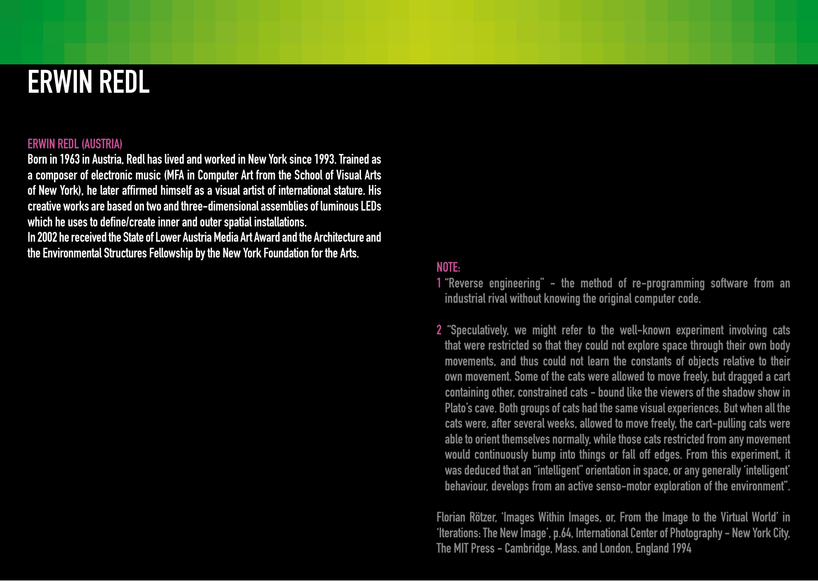### Erwin Redl

#### Erwin REDL (austria)

Born in 1963 in Austria, Redl has lived and worked in New York since 1993. Trained as a composer of electronic music (MFA in Computer Art from the School of Visual Arts of New York), he later affirmed himself as a visual artist of international stature. His creative works are based on two and three-dimensional assemblies of luminous LEDs which he uses to define/create inner and outer spatial installations.

In 2002 he received the State of Lower Austria Media Art Award and the Architecture and the Environmental Structures Fellowship by the New York Foundation for the Arts.

#### note:

1 "Reverse engineering" - the method of re-programming software from an industrial rival without knowing the original computer code.

2 "Speculatively, we might refer to the well-known experiment involving cats that were restricted so that they could not explore space through their own body movements, and thus could not learn the constants of objects relative to their own movement. Some of the cats were allowed to move freely, but dragged a cart containing other, constrained cats - bound like the viewers of the shadow show in Plato's cave. Both groups of cats had the same visual experiences. But when all the cats were, after several weeks, allowed to move freely, the cart-pulling cats were able to orient themselves normally, while those cats restricted from any movement would continuously bump into things or fall off edges. From this experiment, it was deduced that an "intelligent" orientation in space, or any generally 'intelligent' behaviour, develops from an active senso-motor exploration of the environment".

Florian Rötzer, 'Images Within Images, or, From the Image to the Virtual World' in 'Iterations: The New Image', p.64, International Center of Photography - New York City, The MIT Press - Cambridge, Mass. and London, England 1994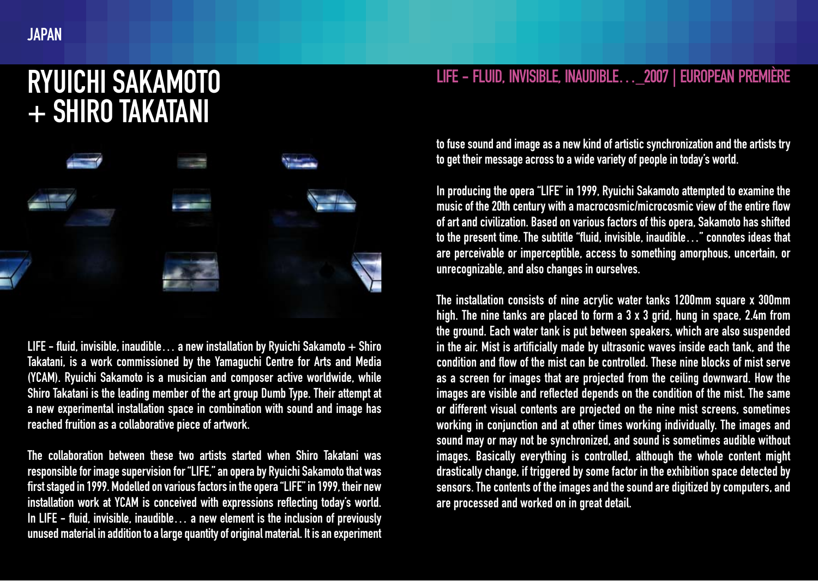### Ryuichi Sakamoto + Shiro Takatani



LIFE - fluid, invisible, inaudible... a new installation by Ryuichi Sakamoto  $+$  Shiro Takatani, is a work commissioned by the Yamaguchi Centre for Arts and Media (YCAM). Ryuichi Sakamoto is a musician and composer active worldwide, while Shiro Takatani is the leading member of the art group Dumb Type. Their attempt at a new experimental installation space in combination with sound and image has reached fruition as a collaborative piece of artwork.

The collaboration between these two artists started when Shiro Takatani was responsible for image supervision for "LIFE," an opera by Ryuichi Sakamoto that was first staged in 1999. Modelled on various factors in the opera "LIFE" in 1999, their new installation work at YCAM is conceived with expressions reflecting today's world. In LIFE - fluid, invisible, inaudible... a new element is the inclusion of previously unused material in addition to a large quantity of original material. It is an experiment

### LIFE - fluid, invisible, inaudible…\_2007 | European Première

to fuse sound and image as a new kind of artistic synchronization and the artists try to get their message across to a wide variety of people in today's world.

In producing the opera "LIFE" in 1999, Ryuichi Sakamoto attempted to examine the music of the 20th century with a macrocosmic/microcosmic view of the entire flow of art and civilization. Based on various factors of this opera, Sakamoto has shifted to the present time. The subtitle "fluid, invisible, inaudible…" connotes ideas that are perceivable or imperceptible, access to something amorphous, uncertain, or unrecognizable, and also changes in ourselves.

The installation consists of nine acrylic water tanks 1200mm square x 300mm high. The nine tanks are placed to form a 3 x 3 grid, hung in space, 2.4m from the ground. Each water tank is put between speakers, which are also suspended in the air. Mist is artificially made by ultrasonic waves inside each tank, and the condition and flow of the mist can be controlled. These nine blocks of mist serve as a screen for images that are projected from the ceiling downward. How the images are visible and reflected depends on the condition of the mist. The same or different visual contents are projected on the nine mist screens, sometimes working in conjunction and at other times working individually. The images and sound may or may not be synchronized, and sound is sometimes audible without images. Basically everything is controlled, although the whole content might drastically change, if triggered by some factor in the exhibition space detected by sensors. The contents of the images and the sound are digitized by computers, and are processed and worked on in great detail.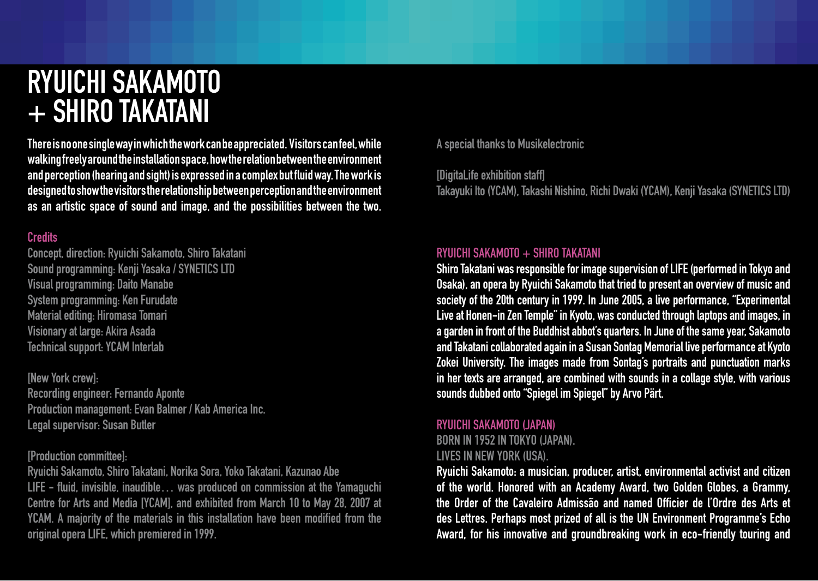### Ryuichi Sakamoto + SHIRO TAKATANI

There is no one single way in which the work can be appreciated. Visitors can feel, while walking freely around the installation space, how the relation between the environment and perception (hearing and sight) is expressed in a complex but fluid way. The work is designed to show the visitors the relationship between perception and the environment as an artistic space of sound and image, and the possibilities between the two.

### **Credits**

Concept, direction: Ryuichi Sakamoto, Shiro Takatani Sound programming: Kenji Yasaka / SYNETICS LTD Visual programming: Daito Manabe System programming: Ken Furudate Material editing: Hiromasa Tomari Visionary at large: Akira Asada Technical support: YCAM Interlab

[New York crew]: Recording engineer: Fernando Aponte Production management: Evan Balmer / Kab America Inc. Legal supervisor: Susan Butler

#### [Production committee]:

Ryuichi Sakamoto, Shiro Takatani, Norika Sora, Yoko Takatani, Kazunao Abe LIFE - fluid, invisible, inaudible… was produced on commission at the Yamaguchi Centre for Arts and Media [YCAM], and exhibited from March 10 to May 28, 2007 at YCAM. A majority of the materials in this installation have been modified from the original opera LIFE, which premiered in 1999.

A special thanks to Musikelectronic

[DigitaLife exhibition staff]

Takayuki Ito (YCAM), Takashi Nishino, Richi Dwaki (YCAM), Kenji Yasaka (SYNETICS LTD)

#### RYUICHI SAKAMOTO + SHIRO TAKATANI

Shiro Takatani was responsible for image supervision of LIFE (performed in Tokyo and Osaka), an opera by Ryuichi Sakamoto that tried to present an overview of music and society of the 20th century in 1999. In June 2005, a live performance, "Experimental Live at Honen-in Zen Temple" in Kyoto, was conducted through laptops and images, in a garden in front of the Buddhist abbot's quarters. In June of the same year, Sakamoto and Takatani collaborated again in a Susan Sontag Memorial live performance at Kyoto Zokei University. The images made from Sontag's portraits and punctuation marks in her texts are arranged, are combined with sounds in a collage style, with various sounds dubbed onto "Spiegel im Spiegel" by Arvo Pärt.

#### Ryuichi SAKAMOTO (japan)

Born in 1952 in Tokyo (Japan). Lives in New York (USA).

Ryuichi Sakamoto: a musician, producer, artist, environmental activist and citizen of the world. Honored with an Academy Award, two Golden Globes, a Grammy, the Order of the Cavaleiro Admissão and named Officier de l'Ordre des Arts et des Lettres. Perhaps most prized of all is the UN Environment Programme's Echo Award, for his innovative and groundbreaking work in eco-friendly touring and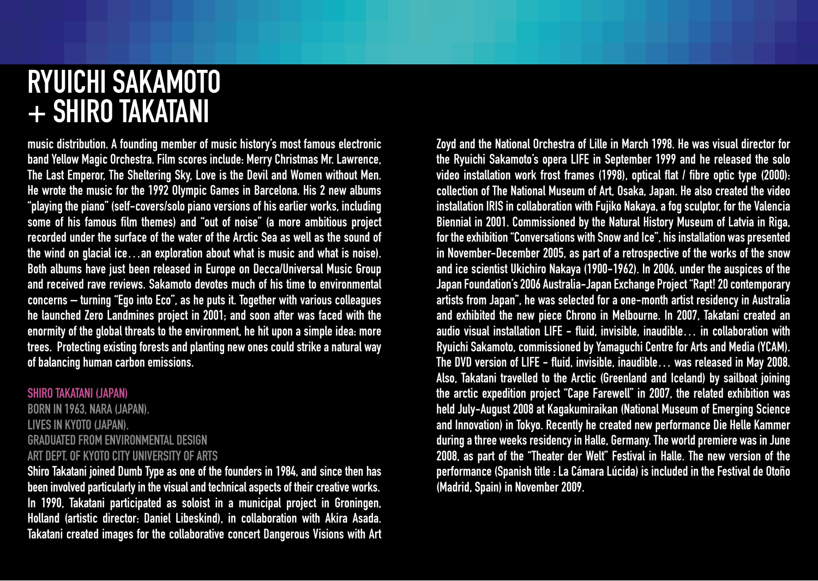### Ryuichi Sakamoto + Shiro Takatani

music distribution. A founding member of music history's most famous electronic band Yellow Magic Orchestra. Film scores include: Merry Christmas Mr. Lawrence, The Last Emperor, The Sheltering Sky, Love is the Devil and Women without Men. He wrote the music for the 1992 Olympic Games in Barcelona. His 2 new albums "playing the piano" (self-covers/solo piano versions of his earlier works, including some of his famous film themes) and "out of noise" (a more ambitious project recorded under the surface of the water of the Arctic Sea as well as the sound of the wind on glacial ice…an exploration about what is music and what is noise). Both albums have just been released in Europe on Decca/Universal Music Group and received rave reviews. Sakamoto devotes much of his time to environmental concerns – turning "Ego into Eco", as he puts it. Together with various colleagues he launched Zero Landmines project in 2001; and soon after was faced with the enormity of the global threats to the environment, he hit upon a simple idea: more trees. Protecting existing forests and planting new ones could strike a natural way of balancing human carbon emissions.

#### Shiro TAKATANI (japan)

Born in 1963, Nara (Japan). Lives in Kyoto (Japan). Graduated from Environmental design Art Dept. of Kyoto City University of Arts

Shiro Takatani joined Dumb Type as one of the founders in 1984, and since then has been involved particularly in the visual and technical aspects of their creative works. In 1990, Takatani participated as soloist in a municipal project in Groningen, Holland (artistic director: Daniel Libeskind), in collaboration with Akira Asada. Takatani created images for the collaborative concert Dangerous Visions with Art Zoyd and the National Orchestra of Lille in March 1998. He was visual director for the Ryuichi Sakamoto's opera LIFE in September 1999 and he released the solo video installation work frost frames (1998), optical flat / fibre optic type (2000): collection of The National Museum of Art, Osaka, Japan. He also created the video installation IRIS in collaboration with Fujiko Nakaya, a fog sculptor, for the Valencia Biennial in 2001. Commissioned by the Natural History Museum of Latvia in Riga, for the exhibition "Conversations with Snow and Ice", his installation was presented in November-December 2005, as part of a retrospective of the works of the snow and ice scientist Ukichiro Nakaya (1900-1962). In 2006, under the auspices of the Japan Foundation's 2006 Australia-Japan Exchange Project "Rapt! 20 contemporary artists from Japan", he was selected for a one-month artist residency in Australia and exhibited the new piece Chrono in Melbourne. In 2007, Takatani created an audio visual installation LIFE - fluid, invisible, inaudible… in collaboration with Ryuichi Sakamoto, commissioned by Yamaguchi Centre for Arts and Media (YCAM). The DVD version of LIFE - fluid, invisible, inaudible… was released in May 2008. Also, Takatani travelled to the Arctic (Greenland and Iceland) by sailboat joining the arctic expedition project "Cape Farewell" in 2007, the related exhibition was held July-August 2008 at Kagakumiraikan (National Museum of Emerging Science and Innovation) in Tokyo. Recently he created new performance Die Helle Kammer during a three weeks residency in Halle, Germany. The world premiere was in June 2008, as part of the "Theater der Welt" Festival in Halle. The new version of the performance (Spanish title : La Cámara Lúcida) is included in the Festival de Otoño (Madrid, Spain) in November 2009.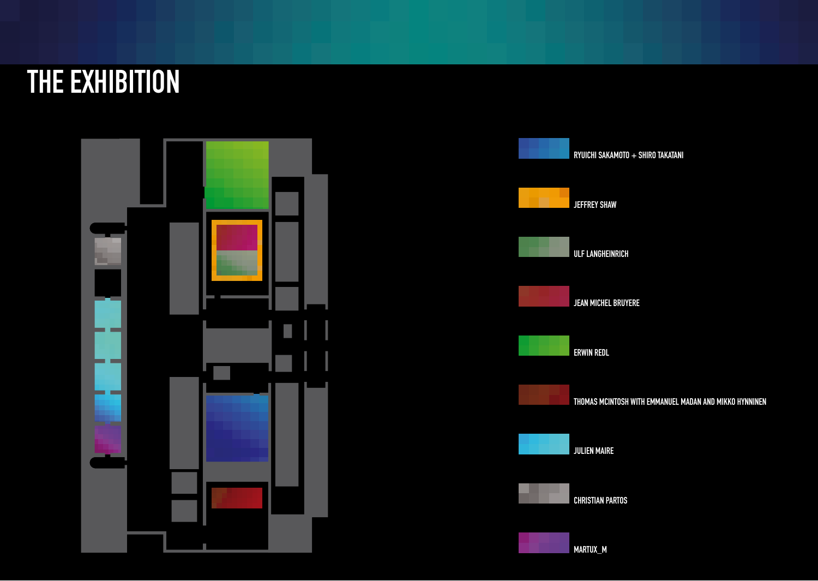## THE EXHIBITION



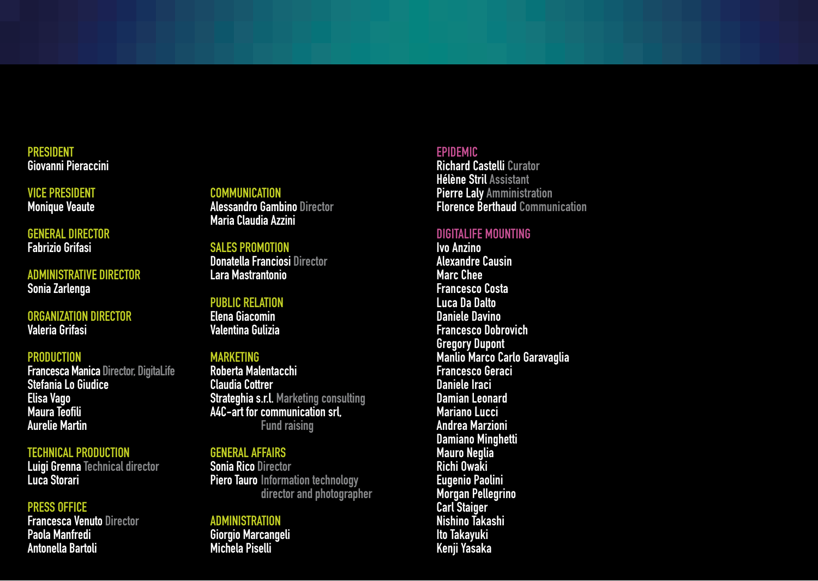#### **PRESIDENT** Giovanni Pieraccini

Vice president Monique Veaute

general director Fabrizio Grifasi

administrative director Sonia Zarlenga

#### organization director Valeria Grifasi

#### **PRODUCTION**

Francesca Manica Director, DigitaLife Stefania Lo Giudice Elisa Vago Maura Teofili Aurelie Martin

#### technical production

Luigi Grenna Technical director Luca Storari

#### press office

Francesca Venuto Director Paola Manfredi Antonella Bartoli

#### communication

Alessandro Gambino Director Maria Claudia Azzini

### sales promotion

Donatella Franciosi Director Lara Mastrantonio

#### public relation

Elena Giacomin Valentina Gulizia

#### Marketing

Roberta Malentacchi Claudia Cottrer Strateghia s.r.l. Marketing consulting A4C-art for communication srl, Fund raising

#### general affairs

Sonia Rico Director Piero Tauro Information technology director and photographer

#### **ADMINISTRATION** Giorgio Marcangeli Michela Piselli

#### EPIDEMIC

Richard Castelli Curator Hélène Stril Assistant Pierre Laly Amministration Florence Berthaud Communication

#### DigitaLife mounting

Ivo Anzino Alexandre Causin Marc Chee Francesco Costa Luca Da Dalto Daniele Davino Francesco Dobrovich Gregory Dupont Manlio Marco Carlo Garavaglia Francesco Geraci Daniele Iraci Damian Leonard Mariano Lucci Andrea Marzioni Damiano Minghetti Mauro Neglia Richi Owaki Eugenio Paolini Morgan Pellegrino Carl Staiger Nishino Takashi Ito Takayuki Kenji Yasaka